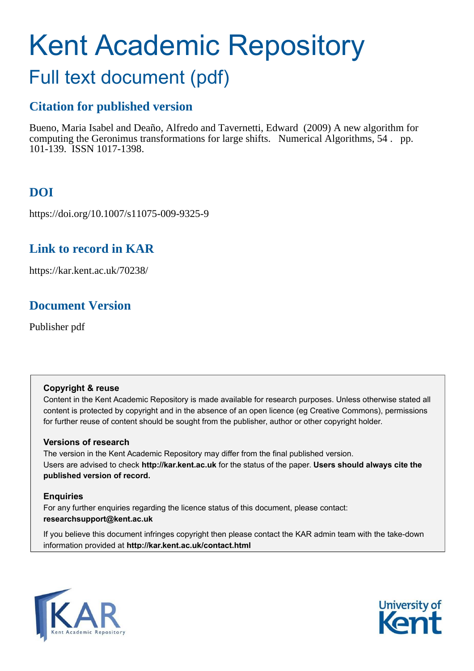# Kent Academic Repository Full text document (pdf)

# **Citation for published version**

Bueno, Maria Isabel and Deaño, Alfredo and Tavernetti, Edward (2009) A new algorithm for computing the Geronimus transformations for large shifts. Numerical Algorithms, 54 . pp. 101-139. ISSN 1017-1398.

# **DOI**

https://doi.org/10.1007/s11075-009-9325-9

## **Link to record in KAR**

https://kar.kent.ac.uk/70238/

## **Document Version**

Publisher pdf

#### **Copyright & reuse**

Content in the Kent Academic Repository is made available for research purposes. Unless otherwise stated all content is protected by copyright and in the absence of an open licence (eg Creative Commons), permissions for further reuse of content should be sought from the publisher, author or other copyright holder.

#### **Versions of research**

The version in the Kent Academic Repository may differ from the final published version. Users are advised to check **http://kar.kent.ac.uk** for the status of the paper. **Users should always cite the published version of record.**

#### **Enquiries**

For any further enquiries regarding the licence status of this document, please contact: **researchsupport@kent.ac.uk**

If you believe this document infringes copyright then please contact the KAR admin team with the take-down information provided at **http://kar.kent.ac.uk/contact.html**



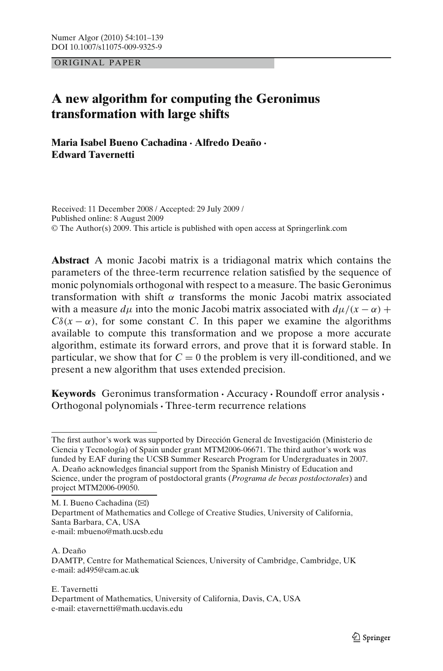<span id="page-1-0"></span>ORIGINAL PAPER

#### **A new algorithm for computing the Geronimus transformation with large shifts**

**Maria Isabel Bueno Cachadina** · **Alfredo Deaño** · **Edward Tavernetti**

Received: 11 December 2008 / Accepted: 29 July 2009 / Published online: 8 August 2009 © The Author(s) 2009. This article is published with open access at Springerlink.com

**Abstract** A monic Jacobi matrix is a tridiagonal matrix which contains the parameters of the three-term recurrence relation satisfied by the sequence of monic polynomials orthogonal with respect to a measure. The basic Geronimus transformation with shift  $\alpha$  transforms the monic Jacobi matrix associated with a measure  $d\mu$  into the monic Jacobi matrix associated with  $d\mu/(x - \alpha)$  +  $C\delta(x-\alpha)$ , for some constant *C*. In this paper we examine the algorithms available to compute this transformation and we propose a more accurate algorithm, estimate its forward errors, and prove that it is forward stable. In particular, we show that for  $C = 0$  the problem is very ill-conditioned, and we present a new algorithm that uses extended precision.

**Keywords** Geronimus transformation· Accuracy · Roundoff error analysis · Orthogonal polynomials · Three-term recurrence relations

M. I. Bueno Cachadina  $(\boxtimes)$ Department of Mathematics and College of Creative Studies, University of California, Santa Barbara, CA, USA e-mail: mbueno@math.ucsb.edu

#### A. Deaño DAMTP, Centre for Mathematical Sciences, University of Cambridge, Cambridge, UK e-mail: ad495@cam.ac.uk

E. Tavernetti

The first author's work was supported by Dirección General de Investigación (Ministerio de Ciencia y Tecnología) of Spain under grant MTM2006-06671. The third author's work was funded by EAF during the UCSB Summer Research Program for Undergraduates in 2007. A. Deaño acknowledges financial support from the Spanish Ministry of Education and Science, under the program of postdoctoral grants (*Programa de becas postdoctorales*) and project MTM2006-09050.

Department of Mathematics, University of California, Davis, CA, USA e-mail: etavernetti@math.ucdavis.edu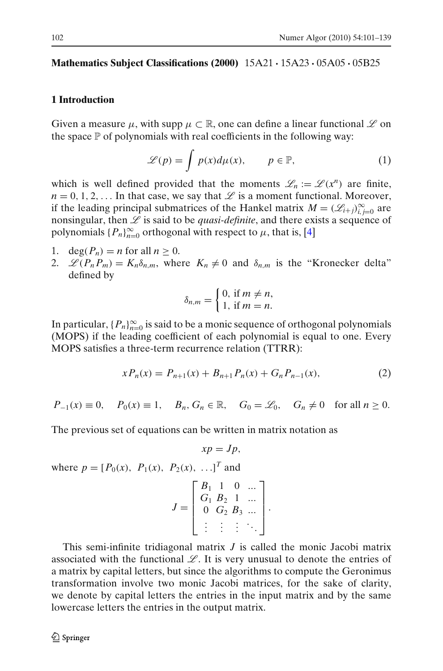#### **Mathematics Subject Classifications (2000)** 15A21 · 15A23 · 05A05 · 05B25

#### **1 Introduction**

Given a measure  $\mu$ , with supp  $\mu \subset \mathbb{R}$ , one can define a linear functional  $\mathscr L$  on the space  $\mathbb P$  of polynomials with real coefficients in the following way:

$$
\mathscr{L}(p) = \int p(x) d\mu(x), \qquad p \in \mathbb{P}, \tag{1}
$$

which is well defined provided that the moments  $\mathcal{L}_n := \mathcal{L}(x^n)$  are finite,  $n = 0, 1, 2, \ldots$  In that case, we say that  $\mathscr L$  is a moment functional. Moreover, if the leading principal submatrices of the Hankel matrix  $M = (\mathcal{L}_{i+j})_{i,j=0}^{\infty}$  are nonsingular, then  $\mathscr L$  is said to be *quasi-definite*, and there exists a sequence of polynomials  $\{P_n\}_{n=0}^{\infty}$  orthogonal with respect to  $\mu$ , that is, [\[4\]](#page-38-0)

- 1.  $\deg(P_n) = n$  for all  $n \geq 0$ .
- 2.  $\mathscr{L}(P_n P_m) = K_n \delta_{n,m}$ , where  $K_n \neq 0$  and  $\delta_{n,m}$  is the "Kronecker delta" defined by

$$
\delta_{n,m} = \begin{cases} 0, \text{ if } m \neq n, \\ 1, \text{ if } m = n. \end{cases}
$$

In particular,  $\{P_n\}_{n=0}^{\infty}$  is said to be a monic sequence of orthogonal polynomials (MOPS) if the leading coefficient of each polynomial is equal to one. Every MOPS satisfies a three-term recurrence relation (TTRR):

$$
xP_n(x) = P_{n+1}(x) + B_{n+1}P_n(x) + G_nP_{n-1}(x),
$$
\n(2)

 $P_{-1}(x) \equiv 0$ ,  $P_0(x) \equiv 1$ ,  $B_n, G_n \in \mathbb{R}$ ,  $G_0 = \mathcal{L}_0$ ,  $G_n \neq 0$  for all  $n \geq 0$ .

The previous set of equations can be written in matrix notation as

$$
xp=Jp,
$$

where  $p = [P_0(x), P_1(x), P_2(x), \dots]^T$  and

$$
J = \begin{bmatrix} B_1 & 1 & 0 & \dots \\ G_1 & B_2 & 1 & \dots \\ 0 & G_2 & B_3 & \dots \\ \vdots & \vdots & \vdots & \ddots \end{bmatrix}.
$$

This semi-infinite tridiagonal matrix *J* is called the monic Jacobi matrix associated with the functional  $\mathscr{L}$ . It is very unusual to denote the entries of a matrix by capital letters, but since the algorithms to compute the Geronimus transformation involve two monic Jacobi matrices, for the sake of clarity, we denote by capital letters the entries in the input matrix and by the same lowercase letters the entries in the output matrix.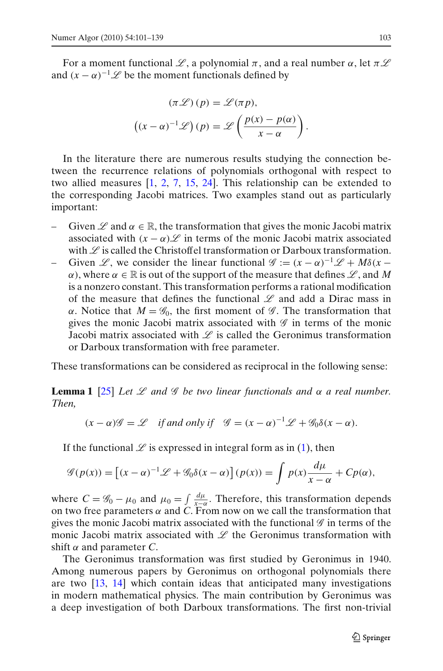For a moment functional L, a polynomial  $\pi$ , and a real number  $\alpha$ , let  $\pi L$ and  $(x - \alpha)^{-1}$   $\mathscr L$  be the moment functionals defined by

$$
(\pi \mathcal{L})(p) = \mathcal{L}(\pi p),
$$

$$
((x - \alpha)^{-1} \mathcal{L})(p) = \mathcal{L}\left(\frac{p(x) - p(\alpha)}{x - \alpha}\right).
$$

In the literature there are numerous results studying the connection between the recurrence relations of polynomials orthogonal with respect to two allied measures [\[1](#page-37-0), [2](#page-37-0), [7](#page-38-0), [15,](#page-38-0) [24\]](#page-38-0). This relationship can be extended to the corresponding Jacobi matrices. Two examples stand out as particularly important:

- Given  $\mathscr L$  and  $\alpha \in \mathbb R$ , the transformation that gives the monic Jacobi matrix associated with  $(x - \alpha)\mathscr{L}$  in terms of the monic Jacobi matrix associated with  $\mathscr L$  is called the Christoffel transformation or Darboux transformation.
- Given L, we consider the linear functional  $\mathscr{G} := (x \alpha)^{-1} \mathscr{L} + M \delta(x \alpha)$  $\alpha$ ), where  $\alpha \in \mathbb{R}$  is out of the support of the measure that defines  $\mathscr{L}$ , and M is a nonzero constant. This transformation performs a rational modification of the measure that defines the functional  $\mathscr L$  and add a Dirac mass in α. Notice that  $M = \mathcal{G}_0$ , the first moment of  $\mathcal{G}$ . The transformation that gives the monic Jacobi matrix associated with  $\mathscr G$  in terms of the monic Jacobi matrix associated with  $\mathscr L$  is called the Geronimus transformation or Darboux transformation with free parameter.

These transformations can be considered as reciprocal in the following sense:

**Lemma 1** [\[25](#page-38-0)] *Let*  $\mathcal{L}$  *and*  $\mathcal{G}$  *be two linear functionals and*  $\alpha$  *a real number. Then,*

$$
(x - \alpha)\mathscr{G} = \mathscr{L}
$$
 if and only if  $\mathscr{G} = (x - \alpha)^{-1}\mathscr{L} + \mathscr{G}_0\delta(x - \alpha)$ .

If the functional  $\mathscr L$  is expressed in integral form as in [\(1\)](#page-1-0), then

$$
\mathcal{G}(p(x)) = \left[ (x - \alpha)^{-1} \mathcal{L} + \mathcal{G}_0 \delta(x - \alpha) \right] (p(x)) = \int p(x) \frac{d\mu}{x - \alpha} + C p(\alpha),
$$

where  $C = \mathscr{G}_0 - \mu_0$  and  $\mu_0 = \int \frac{d\mu}{x-\alpha}$ . Therefore, this transformation depends on two free parameters  $\alpha$  and C. From now on we call the transformation that gives the monic Jacobi matrix associated with the functional  $\mathscr G$  in terms of the monic Jacobi matrix associated with  $\mathscr L$  the Geronimus transformation with shift α and parameter *C*.

The Geronimus transformation was first studied by Geronimus in 1940. Among numerous papers by Geronimus on orthogonal polynomials there are two [\[13](#page-38-0), [14\]](#page-38-0) which contain ideas that anticipated many investigations in modern mathematical physics. The main contribution by Geronimus was a deep investigation of both Darboux transformations. The first non-trivial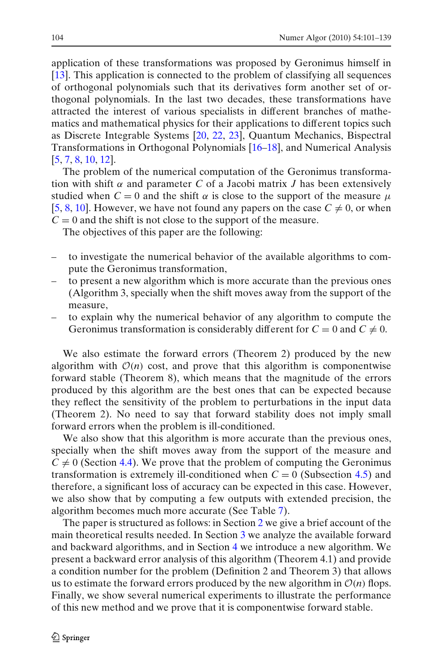<span id="page-4-0"></span>application of these transformations was proposed by Geronimus himself in [\[13](#page-38-0)]. This application is connected to the problem of classifying all sequences of orthogonal polynomials such that its derivatives form another set of orthogonal polynomials. In the last two decades, these transformations have attracted the interest of various specialists in different branches of mathematics and mathematical physics for their applications to different topics such as Discrete Integrable Systems [\[20,](#page-38-0) [22,](#page-38-0) [23](#page-38-0)], Quantum Mechanics, Bispectral Transformations in Orthogonal Polynomials [\[16–18](#page-38-0)], and Numerical Analysis [\[5](#page-38-0), [7](#page-38-0), [8](#page-38-0), [10](#page-38-0), [12](#page-38-0)].

The problem of the numerical computation of the Geronimus transformation with shift  $\alpha$  and parameter C of a Jacobi matrix *J* has been extensively studied when  $C = 0$  and the shift  $\alpha$  is close to the support of the measure  $\mu$ [\[5](#page-38-0), [8](#page-38-0), [10\]](#page-38-0). However, we have not found any papers on the case  $C \neq 0$ , or when  $C = 0$  and the shift is not close to the support of the measure.

The objectives of this paper are the following:

- to investigate the numerical behavior of the available algorithms to compute the Geronimus transformation,
- to present a new algorithm which is more accurate than the previous ones (Algorithm 3, specially when the shift moves away from the support of the measure,
- to explain why the numerical behavior of any algorithm to compute the Geronimus transformation is considerably different for  $C = 0$  and  $C \neq 0$ .

We also estimate the forward errors (Theorem 2) produced by the new algorithm with  $O(n)$  cost, and prove that this algorithm is componentwise forward stable (Theorem 8), which means that the magnitude of the errors produced by this algorithm are the best ones that can be expected because they reflect the sensitivity of the problem to perturbations in the input data (Theorem 2). No need to say that forward stability does not imply small forward errors when the problem is ill-conditioned.

We also show that this algorithm is more accurate than the previous ones, specially when the shift moves away from the support of the measure and  $C \neq 0$  (Section [4.4\)](#page-23-0). We prove that the problem of computing the Geronimus transformation is extremely ill-conditioned when  $C = 0$  (Subsection [4.5\)](#page-25-0) and therefore, a significant loss of accuracy can be expected in this case. However, we also show that by computing a few outputs with extended precision, the algorithm becomes much more accurate (See Table [7\)](#page-26-0).

The paper is structured as follows: in Section 2 we give a brief account of the main theoretical results needed. In Section [3](#page-7-0) we analyze the available forward and backward algorithms, and in Section [4](#page-11-0) we introduce a new algorithm. We present a backward error analysis of this algorithm (Theorem 4.1) and provide a condition number for the problem (Definition 2 and Theorem 3) that allows us to estimate the forward errors produced by the new algorithm in  $O(n)$  flops. Finally, we show several numerical experiments to illustrate the performance of this new method and we prove that it is componentwise forward stable.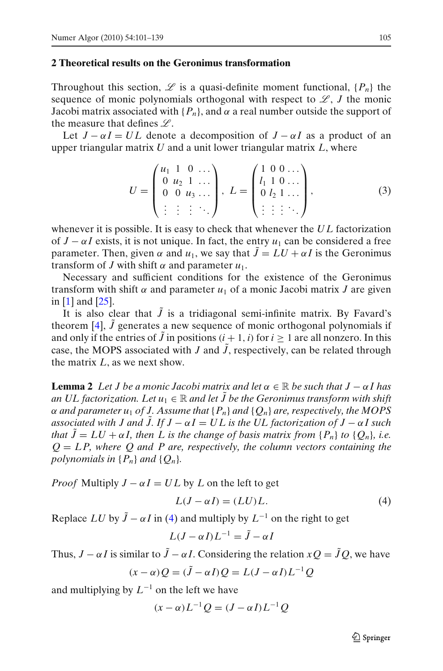#### **2 Theoretical results on the Geronimus transformation**

Throughout this section,  $\mathscr L$  is a quasi-definite moment functional,  $\{P_n\}$  the sequence of monic polynomials orthogonal with respect to  $\mathscr{L}, J$  the monic Jacobi matrix associated with  ${P_n}$ , and  $\alpha$  a real number outside the support of the measure that defines  $\mathscr{L}$ .

Let  $J - \alpha I = UL$  denote a decomposition of  $J - \alpha I$  as a product of an upper triangular matrix *U* and a unit lower triangular matrix *L*, where

$$
U = \begin{pmatrix} u_1 & 1 & 0 & \dots \\ 0 & u_2 & 1 & \dots \\ 0 & 0 & u_3 & \dots \\ \vdots & \vdots & \vdots & \ddots \end{pmatrix}, L = \begin{pmatrix} 1 & 0 & 0 & \dots \\ l_1 & 1 & 0 & \dots \\ 0 & l_2 & 1 & \dots \\ \vdots & \vdots & \vdots & \ddots \end{pmatrix},
$$
(3)

whenever it is possible. It is easy to check that whenever the *U L* factorization of  $J - \alpha I$  exists, it is not unique. In fact, the entry  $u_1$  can be considered a free parameter. Then, given  $\alpha$  and  $u_1$ , we say that  $\tilde{J} = LU + \alpha I$  is the Geronimus transform of *J* with shift  $\alpha$  and parameter  $u_1$ .

Necessary and sufficient conditions for the existence of the Geronimus transform with shift  $\alpha$  and parameter  $u_1$  of a monic Jacobi matrix *J* are given in [\[1](#page-37-0)] and [\[25\]](#page-38-0).

It is also clear that  $\tilde{J}$  is a tridiagonal semi-infinite matrix. By Favard's theorem [\[4](#page-38-0)],  $\tilde{J}$  generates a new sequence of monic orthogonal polynomials if and only if the entries of  $\tilde{J}$  in positions  $(i + 1, i)$  for  $i \ge 1$  are all nonzero. In this case, the MOPS associated with *J* and  $\tilde{J}$ , respectively, can be related through the matrix *L*, as we next show.

**Lemma 2** Let *J* be a monic Jacobi matrix and let  $\alpha \in \mathbb{R}$  be such that  $J - \alpha I$  has *an UL factorization. Let*  $u_1 \in \mathbb{R}$  *and let*  $\tilde{J}$  *be the Geronimus transform with shift*  $\alpha$  *and parameter u<sub>1</sub> of J. Assume that* { $P_n$ } *and* { $Q_n$ } *are, respectively, the MOPS associated with J and J. If*  $J - \alpha I = UL$  *is the UL factorization of*  $J - \alpha I$  *such that*  $\tilde{J} = LU + \alpha I$ , then L is the change of basis matrix from  $\{P_n\}$  to  $\{Q_n\}$ , i.e.  $Q = LP$ , where Q and P are, respectively, the column vectors containing the *polynomials in*  $\{P_n\}$  *and*  $\{Q_n\}$ *.* 

*Proof* Multiply  $J - \alpha I = UL$  by *L* on the left to get

$$
L(J - \alpha I) = (LU)L.
$$
\n<sup>(4)</sup>

Replace *LU* by  $\tilde{J} - \alpha I$  in [\(4\)](#page-4-0) and multiply by  $L^{-1}$  on the right to get

$$
L(J - \alpha I)L^{-1} = \tilde{J} - \alpha I
$$

Thus,  $J - \alpha I$  is similar to  $\tilde{J} - \alpha I$ . Considering the relation  $xQ = \tilde{J}Q$ , we have

$$
(x - \alpha)Q = (\tilde{J} - \alpha I)Q = L(J - \alpha I)L^{-1}Q
$$

and multiplying by  $L^{-1}$  on the left we have

 $(x - \alpha)L^{-1}Q = (J - \alpha I)L^{-1}Q$ 

 $\mathcal{D}$  Springer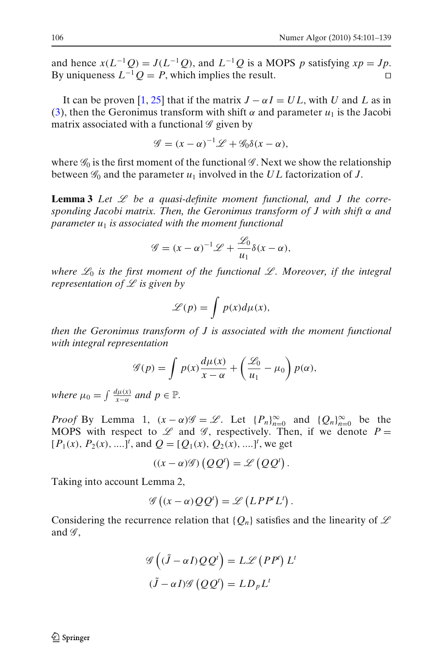and hence  $x(L^{-1}Q) = J(L^{-1}Q)$ , and  $L^{-1}Q$  is a MOPS *p* satisfying  $xp = Jp$ . By uniqueness  $L^{-1}Q = P$ , which implies the result. □

It can be proven [\[1,](#page-37-0) [25\]](#page-38-0) that if the matrix  $J - \alpha I = UL$ , with *U* and *L* as in [\(3\)](#page-4-0), then the Geronimus transform with shift  $\alpha$  and parameter  $u_1$  is the Jacobi matrix associated with a functional  $\mathscr G$  given by

$$
\mathscr{G} = (x - \alpha)^{-1} \mathscr{L} + \mathscr{G}_0 \delta(x - \alpha),
$$

where  $\mathscr{G}_0$  is the first moment of the functional  $\mathscr{G}$ . Next we show the relationship between  $\mathscr{G}_0$  and the parameter  $u_1$  involved in the  $UL$  factorization of  $J$ .

**Lemma 3** Let  $\mathscr L$  be a quasi-definite moment functional, and J the corre*sponding Jacobi matrix. Then, the Geronimus transform of J with shift* α *and parameter u*<sup>1</sup> *is associated with the moment functional*

$$
\mathscr{G} = (x - \alpha)^{-1} \mathscr{L} + \frac{\mathscr{L}_0}{u_1} \delta(x - \alpha),
$$

*where*  $\mathcal{L}_0$  *is the first moment of the functional*  $\mathcal{L}$ *. Moreover, if the integral representation of* L *is given by*

$$
\mathscr{L}(p) = \int p(x) d\mu(x),
$$

*then the Geronimus transform of J is associated with the moment functional with integral representation*

$$
\mathscr{G}(p) = \int p(x) \frac{d\mu(x)}{x - \alpha} + \left(\frac{\mathscr{L}_0}{u_1} - \mu_0\right) p(\alpha),
$$

*where*  $\mu_0 = \int \frac{d\mu(x)}{x-\alpha}$  and  $p \in \mathbb{P}$ .

*Proof* By Lemma 1,  $(x - \alpha)\mathscr{G} = \mathscr{L}$ . Let  $\{P_n\}_{n=0}^{\infty}$  and  $\{Q_n\}_{n=0}^{\infty}$  be the MOPS with respect to  $\mathscr L$  and  $\mathscr G$ , respectively. Then, if we denote  $P =$  $[P_1(x), P_2(x), \ldots]^t$ , and  $Q = [Q_1(x), Q_2(x), \ldots]^t$ , we get

$$
((x - \alpha)\mathscr{G})\left(QQ^{t}\right) = \mathscr{L}\left(QQ^{t}\right).
$$

Taking into account Lemma 2,

$$
\mathscr{G}\left((x-\alpha)QQ^{t}\right)=\mathscr{L}\left(LPP^{t}L^{t}\right).
$$

Considering the recurrence relation that  ${Q_n}$  satisfies and the linearity of  $\mathscr L$ and  $\mathscr{G}$ ,

$$
\mathcal{G}\left((\tilde{J} - \alpha I)QQ^{t}\right) = L\mathcal{L}\left(PP^{t}\right)L^{t}
$$

$$
(\tilde{J} - \alpha I)\mathcal{G}\left(QQ^{t}\right) = LD_{p}L^{t}
$$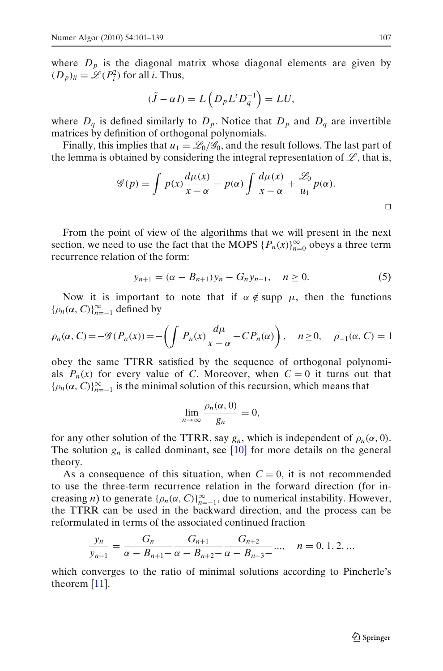<span id="page-7-0"></span>where  $D_p$  is the diagonal matrix whose diagonal elements are given by  $(D_p)_{ii} = \mathcal{L}(P_i^2)$  for all *i*. Thus,

$$
(\tilde{J} - \alpha I) = L\left(D_p L^t D_q^{-1}\right) = LU,
$$

where  $D_q$  is defined similarly to  $D_p$ . Notice that  $D_p$  and  $D_q$  are invertible matrices by definition of orthogonal polynomials.

Finally, this implies that  $u_1 = \mathcal{L}_0/\mathcal{G}_0$ , and the result follows. The last part of the lemma is obtained by considering the integral representation of  $\mathscr{L}$ , that is,

$$
\mathscr{G}(p) = \int p(x) \frac{d\mu(x)}{x - \alpha} - p(\alpha) \int \frac{d\mu(x)}{x - \alpha} + \frac{\mathscr{L}_0}{u_1} p(\alpha).
$$

From the point of view of the algorithms that we will present in the next section, we need to use the fact that the MOPS  $\{P_n(x)\}_{n=0}^{\infty}$  obeys a three term recurrence relation of the form:

$$
y_{n+1} = (\alpha - B_{n+1})y_n - G_n y_{n-1}, \quad n \ge 0.
$$
 (5)

Now it is important to note that if  $\alpha \notin \text{supp } \mu$ , then the functions  $\{\rho_n(\alpha, C)\}_{n=-1}^{\infty}$  defined by

$$
\rho_n(\alpha, C) = -\mathscr{G}(P_n(x)) = -\left(\int P_n(x) \frac{d\mu}{x - \alpha} + C P_n(\alpha)\right), \quad n \ge 0, \quad \rho_{-1}(\alpha, C) = 1
$$

obey the same TTRR satisfied by the sequence of orthogonal polynomials  $P_n(x)$  for every value of *C*. Moreover, when  $C = 0$  it turns out that  ${\rho_n(\alpha, C)}_{n=-1}^{\infty}$  is the minimal solution of this recursion, which means that

$$
\lim_{n\to\infty}\frac{\rho_n(\alpha,0)}{g_n}=0,
$$

for any other solution of the TTRR, say  $g_n$ , which is independent of  $\rho_n(\alpha, 0)$ . The solution  $g_n$  is called dominant, see  $[10]$  for more details on the general theory.

As a consequence of this situation, when  $C = 0$ , it is not recommended to use the three-term recurrence relation in the forward direction (for increasing *n*) to generate  $\{\rho_n(\alpha, C)\}_{n=-1}^{\infty}$ , due to numerical instability. However, the TTRR can be used in the backward direction, and the process can be reformulated in terms of the associated continued fraction

$$
\frac{y_n}{y_{n-1}} = \frac{G_n}{\alpha - B_{n+1} - \alpha - B_{n+2} - \alpha - B_{n+3} - \cdots}, \quad n = 0, 1, 2, \ldots
$$

which converges to the ratio of minimal solutions according to Pincherle's theorem [\[11\]](#page-38-0).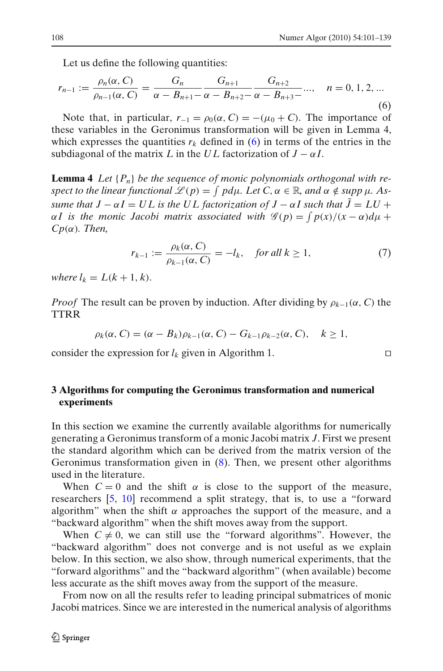<span id="page-8-0"></span>Let us define the following quantities:

$$
r_{n-1} := \frac{\rho_n(\alpha, C)}{\rho_{n-1}(\alpha, C)} = \frac{G_n}{\alpha - B_{n+1} - \alpha - B_{n+2} - \alpha - B_{n+3} - \cdots}, \quad n = 0, 1, 2, \dots
$$
\n(6)

Note that, in particular,  $r_{-1} = \rho_0(\alpha, C) = -(\mu_0 + C)$ . The importance of these variables in the Geronimus transformation will be given in Lemma 4, which expresses the quantities  $r_k$  defined in [\(6\)](#page-7-0) in terms of the entries in the subdiagonal of the matrix *L* in the *UL* factorization of  $J - \alpha I$ .

**Lemma 4** *Let* {*Pn*} *be the sequence of monic polynomials orthogonal with respect to the linear functional*  $\mathscr{L}(p) = \int pd\mu$ *. Let*  $C, \alpha \in \mathbb{R}$ *, and*  $\alpha \notin supp \mu$ *. Assume that*  $J - \alpha I = UL$  *is the UL factorization of*  $J - \alpha I$  *such that*  $\tilde{J} = LU +$  $\alpha I$  is the monic Jacobi matrix associated with  $\mathscr{G}(p) = \int p(x)/(x - \alpha) d\mu +$ *Cp*(α)*. Then,*

$$
r_{k-1} := \frac{\rho_k(\alpha, C)}{\rho_{k-1}(\alpha, C)} = -l_k, \quad \text{for all } k \ge 1,
$$
 (7)

*where*  $l_k = L(k + 1, k)$ .

*Proof* The result can be proven by induction. After dividing by  $\rho_{k-1}(\alpha, C)$  the TTRR

$$
\rho_k(\alpha, C) = (\alpha - B_k)\rho_{k-1}(\alpha, C) - G_{k-1}\rho_{k-2}(\alpha, C), \quad k \ge 1,
$$

consider the expression for  $l_k$  given in Algorithm 1. □

#### **3 Algorithms for computing the Geronimus transformation and numerical experiments**

In this section we examine the currently available algorithms for numerically generating a Geronimus transform of a monic Jacobi matrix *J*. First we present the standard algorithm which can be derived from the matrix version of the Geronimus transformation given in (8). Then, we present other algorithms used in the literature.

When  $C = 0$  and the shift  $\alpha$  is close to the support of the measure, researchers [\[5,](#page-38-0) [10\]](#page-38-0) recommend a split strategy, that is, to use a "forward algorithm" when the shift  $\alpha$  approaches the support of the measure, and a "backward algorithm" when the shift moves away from the support.

When  $C \neq 0$ , we can still use the "forward algorithms". However, the "backward algorithm" does not converge and is not useful as we explain below. In this section, we also show, through numerical experiments, that the "forward algorithms" and the "backward algorithm" (when available) become less accurate as the shift moves away from the support of the measure.

From now on all the results refer to leading principal submatrices of monic Jacobi matrices. Since we are interested in the numerical analysis of algorithms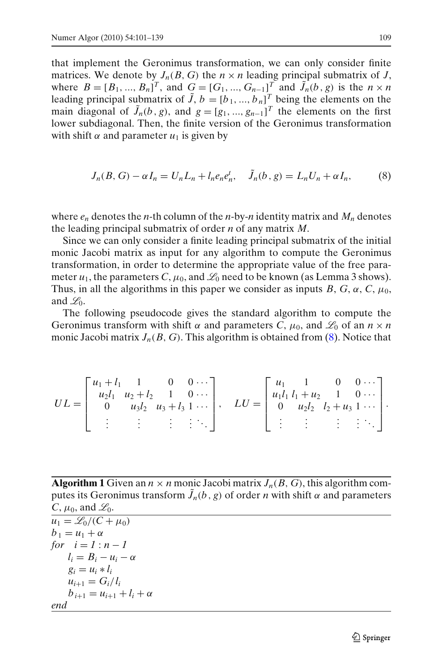<span id="page-9-0"></span>that implement the Geronimus transformation, we can only consider finite matrices. We denote by  $J_n(B, G)$  the  $n \times n$  leading principal submatrix of *J*, where  $B = [B_1, ..., B_n]^T$ , and  $G = [G_1, ..., G_{n-1}]^T$  and  $\tilde{J}_n(b, g)$  is the  $n \times n$ leading principal submatrix of  $\tilde{J}$ ,  $b = [b_1, ..., b_n]^T$  being the elements on the main diagonal of  $\tilde{J}_n(b, g)$ , and  $g = [g_1, ..., g_{n-1}]^T$  the elements on the first lower subdiagonal. Then, the finite version of the Geronimus transformation with shift  $\alpha$  and parameter  $u_1$  is given by

$$
J_n(B, G) - \alpha I_n = U_n L_n + l_n e_n e_n^t, \quad \tilde{J}_n(b, g) = L_n U_n + \alpha I_n,\tag{8}
$$

where  $e_n$  denotes the *n*-th column of the *n*-by-*n* identity matrix and  $M_n$  denotes the leading principal submatrix of order *n* of any matrix *M*.

Since we can only consider a finite leading principal submatrix of the initial monic Jacobi matrix as input for any algorithm to compute the Geronimus transformation, in order to determine the appropriate value of the free parameter  $u_1$ , the parameters C,  $\mu_0$ , and  $\mathcal{L}_0$  need to be known (as Lemma 3 shows). Thus, in all the algorithms in this paper we consider as inputs  $B, G, \alpha, C, \mu_0$ , and  $\mathscr{L}_0$ .

The following pseudocode gives the standard algorithm to compute the Geronimus transform with shift  $\alpha$  and parameters *C*,  $\mu_0$ , and  $\mathcal{L}_0$  of an  $n \times n$ monic Jacobi matrix  $J_n(B, G)$ . This algorithm is obtained from  $(8)$ . Notice that

$$
UL = \begin{bmatrix} u_1 + l_1 & 1 & 0 & 0 & \cdots \\ u_2l_1 & u_2 + l_2 & 1 & 0 & \cdots \\ 0 & u_3l_2 & u_3 + l_3 & 1 & \cdots \\ \vdots & \vdots & \vdots & \vdots & \vdots & \ddots \end{bmatrix}, \quad LU = \begin{bmatrix} u_1 & 1 & 0 & 0 & \cdots \\ u_1l_1 & l_1 + u_2 & 1 & 0 & \cdots \\ 0 & u_2l_2 & l_2 + u_3 & 1 & \cdots \\ \vdots & \vdots & \vdots & \vdots & \ddots \end{bmatrix}.
$$

**Algorithm 1** Given an  $n \times n$  monic Jacobi matrix  $J_n(B, G)$ , this algorithm computes its Geronimus transform  $J_n(b, g)$  of order *n* with shift  $\alpha$  and parameters  $C, \mu_0$ , and  $\mathscr{L}_0$ .

```
u_1 = \mathcal{L}_0 / (C + \mu_0)b_1 = u_1 + \alphafor i = 1 : n - 1l_i = B_i - u_i - \alphag_i = u_i * l_iu_{i+1} = G_i / l_ib_{i+1} = u_{i+1} + l_i + \alphaend
```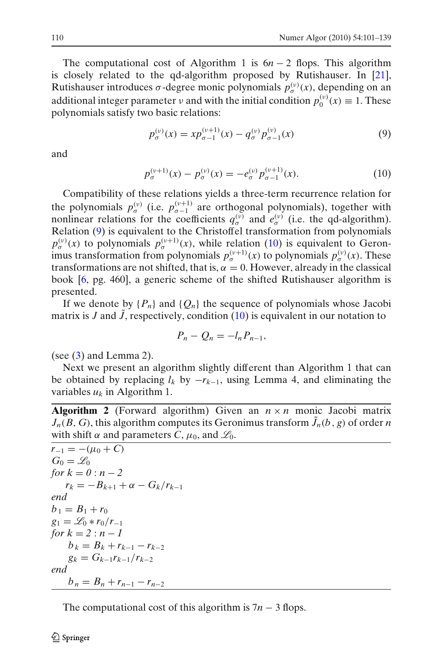<span id="page-10-0"></span>The computational cost of Algorithm 1 is  $6n - 2$  flops. This algorithm is closely related to the qd-algorithm proposed by Rutishauser. In [\[21\]](#page-38-0), Rutishauser introduces  $\sigma$ -degree monic polynomials  $p_{\sigma}^{(\nu)}(x)$ , depending on an additional integer parameter  $\nu$  and with the initial condition  $p_0^{(\nu)}(x) \equiv 1$ . These polynomials satisfy two basic relations:

$$
p_{\sigma}^{(\nu)}(x) = x p_{\sigma-1}^{(\nu+1)}(x) - q_{\sigma}^{(\nu)} p_{\sigma-1}^{(\nu)}(x)
$$
\n(9)

and

$$
p_{\sigma}^{(\nu+1)}(x) - p_{\sigma}^{(\nu)}(x) = -e_{\sigma}^{(\nu)} p_{\sigma-1}^{(\nu+1)}(x). \tag{10}
$$

Compatibility of these relations yields a three-term recurrence relation for the polynomials  $p_{\sigma}^{(v)}$  (i.e.  $p_{\sigma-1}^{(v+1)}$  are orthogonal polynomials), together with nonlinear relations for the coefficients  $q_{\sigma}^{(v)}$  and  $e_{\sigma}^{(v)}$  (i.e. the qd-algorithm). Relation [\(9\)](#page-9-0) is equivalent to the Christoffel transformation from polynomials  $p_{\sigma}^{(v)}(x)$  to polynomials  $p_{\sigma}^{(v+1)}(x)$ , while relation [\(10\)](#page-9-0) is equivalent to Geronimus transformation from polynomials  $p_{\sigma}^{(\nu+1)}(x)$  to polynomials  $p_{\sigma}^{(\nu)}(x)$ . These transformations are not shifted, that is,  $\alpha = 0$ . However, already in the classical book [\[6,](#page-38-0) pg. 460], a generic scheme of the shifted Rutishauser algorithm is presented.

If we denote by  $\{P_n\}$  and  $\{Q_n\}$  the sequence of polynomials whose Jacobi matrix is  $J$  and  $J$ , respectively, condition  $(10)$  is equivalent in our notation to

$$
P_n-Q_n=-l_nP_{n-1},
$$

(see  $(3)$  and Lemma 2).

Next we present an algorithm slightly different than Algorithm 1 that can be obtained by replacing  $l_k$  by  $-r_{k-1}$ , using Lemma 4, and eliminating the variables  $u_k$  in Algorithm 1.

**Algorithm 2** (Forward algorithm) Given an  $n \times n$  monic Jacobi matrix  $J_n(B, G)$ , this algorithm computes its Geronimus transform  $\tilde{J}_n(b, g)$  of order *n* with shift  $\alpha$  and parameters C,  $\mu_0$ , and  $\mathcal{L}_0$ .

```
r_{-1} = -(\mu_0 + C)G_0 = \mathcal{L}_0for k = 0 : n - 2r_k = -B_{k+1} + \alpha - G_k/r_{k-1}end
b_1 = B_1 + r_0g_1 = \mathcal{L}_0 * r_0/r_{-1}for k = 2 : n - 1b_k = B_k + r_{k-1} - r_{k-2}g_k = G_{k-1}r_{k-1}/r_{k-2}end
     b_n = B_n + r_{n-1} - r_{n-2}
```
The computational cost of this algorithm is 7*n* − 3 flops.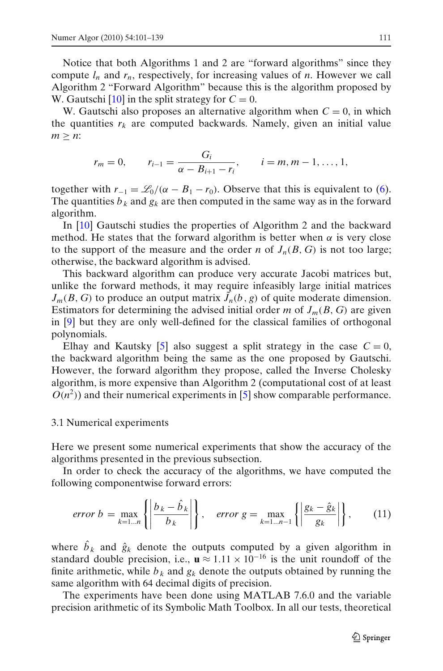W. Gautschi [\[10\]](#page-38-0) in the split strategy for  $C = 0$ .

<span id="page-11-0"></span>Notice that both Algorithms 1 and 2 are "forward algorithms" since they compute  $l_n$  and  $r_n$ , respectively, for increasing values of *n*. However we call Algorithm 2 "Forward Algorithm" because this is the algorithm proposed by

W. Gautschi also proposes an alternative algorithm when  $C = 0$ , in which the quantities  $r_k$  are computed backwards. Namely, given an initial value  $m > n$ :

$$
r_m = 0,
$$
  $r_{i-1} = \frac{G_i}{\alpha - B_{i+1} - r_i},$   $i = m, m - 1, ..., 1,$ 

together with  $r_{-1} = \mathcal{L}_0/(\alpha - B_1 - r_0)$ . Observe that this is equivalent to [\(6\)](#page-7-0). The quantities  $b_k$  and  $g_k$  are then computed in the same way as in the forward algorithm.

In [\[10\]](#page-38-0) Gautschi studies the properties of Algorithm 2 and the backward method. He states that the forward algorithm is better when  $\alpha$  is very close to the support of the measure and the order *n* of  $J_n(B, G)$  is not too large; otherwise, the backward algorithm is advised.

This backward algorithm can produce very accurate Jacobi matrices but, unlike the forward methods, it may require infeasibly large initial matrices  $J_m(B, G)$  to produce an output matrix  $\tilde{J}_n(b, g)$  of quite moderate dimension. Estimators for determining the advised initial order *m* of  $J_m(B, G)$  are given in [\[9](#page-38-0)] but they are only well-defined for the classical families of orthogonal polynomials.

Elhay and Kautsky [\[5\]](#page-38-0) also suggest a split strategy in the case  $C = 0$ , the backward algorithm being the same as the one proposed by Gautschi. However, the forward algorithm they propose, called the Inverse Cholesky algorithm, is more expensive than Algorithm 2 (computational cost of at least  $O(n^2)$ ) and their numerical experiments in [\[5\]](#page-38-0) show comparable performance.

#### 3.1 Numerical experiments

Here we present some numerical experiments that show the accuracy of the algorithms presented in the previous subsection.

In order to check the accuracy of the algorithms, we have computed the following componentwise forward errors:

$$
error\ b = \max_{k=1...n} \left\{ \left| \frac{b_k - \hat{b}_k}{b_k} \right| \right\}, \quad error\ g = \max_{k=1...n-1} \left\{ \left| \frac{g_k - \hat{g}_k}{g_k} \right| \right\}, \tag{11}
$$

where  $\hat{b}_k$  and  $\hat{g}_k$  denote the outputs computed by a given algorithm in standard double precision, i.e.,  $\mathbf{u} \approx 1.11 \times 10^{-16}$  is the unit roundoff of the finite arithmetic, while  $b_k$  and  $g_k$  denote the outputs obtained by running the same algorithm with 64 decimal digits of precision.

The experiments have been done using MATLAB 7.6.0 and the variable precision arithmetic of its Symbolic Math Toolbox. In all our tests, theoretical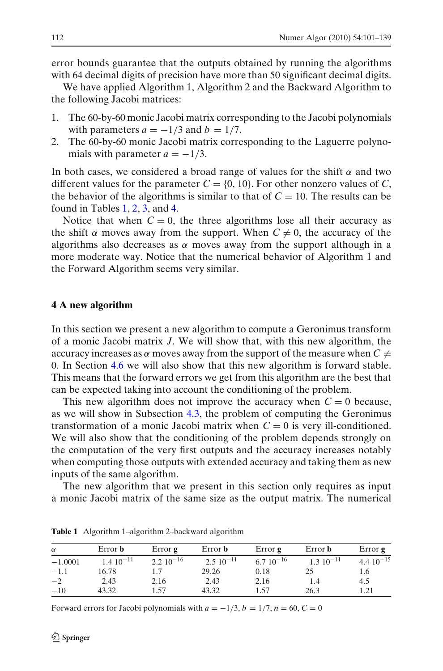error bounds guarantee that the outputs obtained by running the algorithms with 64 decimal digits of precision have more than 50 significant decimal digits.

We have applied Algorithm 1, Algorithm 2 and the Backward Algorithm to the following Jacobi matrices:

- 1. The 60-by-60 monic Jacobi matrix corresponding to the Jacobi polynomials with parameters  $a = -1/3$  and  $b = 1/7$ .
- 2. The 60-by-60 monic Jacobi matrix corresponding to the Laguerre polynomials with parameter  $a = -1/3$ .

In both cases, we considered a broad range of values for the shift  $\alpha$  and two different values for the parameter  $C = \{0, 10\}$ . For other nonzero values of *C*, the behavior of the algorithms is similar to that of  $C = 10$ . The results can be found in Tables [1,](#page-11-0) 2, 3, and [4.](#page-13-0)

Notice that when  $C = 0$ , the three algorithms lose all their accuracy as the shift  $\alpha$  moves away from the support. When  $C \neq 0$ , the accuracy of the algorithms also decreases as  $\alpha$  moves away from the support although in a more moderate way. Notice that the numerical behavior of Algorithm 1 and the Forward Algorithm seems very similar.

#### **4 A new algorithm**

In this section we present a new algorithm to compute a Geronimus transform of a monic Jacobi matrix *J*. We will show that, with this new algorithm, the accuracy increases as  $\alpha$  moves away from the support of the measure when  $C \neq$ 0. In Section [4.6](#page-27-0) we will also show that this new algorithm is forward stable. This means that the forward errors we get from this algorithm are the best that can be expected taking into account the conditioning of the problem.

This new algorithm does not improve the accuracy when  $C = 0$  because, as we will show in Subsection [4.3,](#page-21-0) the problem of computing the Geronimus transformation of a monic Jacobi matrix when  $C = 0$  is very ill-conditioned. We will also show that the conditioning of the problem depends strongly on the computation of the very first outputs and the accuracy increases notably when computing those outputs with extended accuracy and taking them as new inputs of the same algorithm.

The new algorithm that we present in this section only requires as input a monic Jacobi matrix of the same size as the output matrix. The numerical

| $\alpha$  | Error <b>b</b> | Error $g$     | Error <b>b</b> | Error $g$     | Error <b>b</b> | Error $g$     |
|-----------|----------------|---------------|----------------|---------------|----------------|---------------|
| $-1.0001$ | $1.410^{-11}$  | $2.210^{-16}$ | $2.510^{-11}$  | $6.710^{-16}$ | $1.310^{-11}$  | $4.410^{-15}$ |
| $-1.1$    | 16.78          |               | 29.26          | 0.18          |                | 1.6           |
| $-2$      | 2.43           | 2.16          | 2.43           | 2.16          |                | 4.5           |
| $-10$     | 43.32          | 1.57          | 43.32          | 1.57          | 26.3           | 1.21          |

**Table 1** Algorithm 1–algorithm 2–backward algorithm

Forward errors for Jacobi polynomials with  $a = -1/3$ ,  $b = 1/7$ ,  $n = 60$ ,  $C = 0$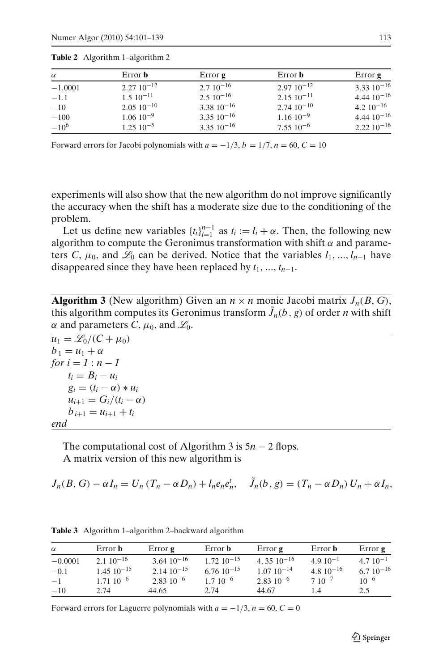| $\alpha$  | Error <b>b</b>    | Error <b>g</b>   | Error <b>b</b>        | Error $g$        |
|-----------|-------------------|------------------|-----------------------|------------------|
| $-1.0001$ | $2.27 10^{-12}$   | $2.710^{-16}$    | $2.9710^{-12}$        | $3.33\ 10^{-16}$ |
| $-1.1$    | $1.510^{-11}$     | $2.510^{-16}$    | $2.15 \cdot 10^{-11}$ | $4.4410^{-16}$   |
| $-10$     | $2.05\ 10^{-10}$  | $3.38\ 10^{-16}$ | $2.74 \cdot 10^{-10}$ | $4.210^{-16}$    |
| $-100$    | $1.0610^{-9}$     | $3.35\ 10^{-16}$ | $1.1610^{-9}$         | $4.4410^{-16}$   |
| $-10^{6}$ | $1.25 \, 10^{-5}$ | $3.35\ 10^{-16}$ | $7.5510^{-6}$         | $2.2210^{-16}$   |

<span id="page-13-0"></span>**Table 2** Algorithm 1–algorithm 2

Forward errors for Jacobi polynomials with  $a = -1/3$ ,  $b = 1/7$ ,  $n = 60$ ,  $C = 10$ 

experiments will also show that the new algorithm do not improve significantly the accuracy when the shift has a moderate size due to the conditioning of the problem.

Let us define new variables  $\{t_i\}_{i=1}^{n-1}$  as  $t_i := l_i + \alpha$ . Then, the following new algorithm to compute the Geronimus transformation with shift  $\alpha$  and parameters *C*,  $\mu_0$ , and  $\mathcal{L}_0$  can be derived. Notice that the variables  $l_1, ..., l_{n-1}$  have disappeared since they have been replaced by  $t_1, ..., t_{n-1}$ .

**Algorithm 3** (New algorithm) Given an  $n \times n$  monic Jacobi matrix  $J_n(B, G)$ , this algorithm computes its Geronimus transform  $\tilde{J}_n(b, g)$  of order *n* with shift  $\alpha$  and parameters *C*,  $\mu_0$ , and  $\mathcal{L}_0$ .

| $u_1 = \mathcal{L}_0/(C + \mu_0)$ |
|-----------------------------------|
| $b_1 = u_1 + \alpha$              |
| for $i = 1 : n - 1$               |
| $t_i = B_i - u_i$                 |
| $g_i = (t_i - \alpha) * u_i$      |
| $u_{i+1} = G_i/(t_i - \alpha)$    |
| $b_{i+1} = u_{i+1} + t_i$         |
| end                               |

The computational cost of Algorithm 3 is 5*n* − 2 flops. A matrix version of this new algorithm is

 $J_n(B, G) - \alpha I_n = U_n (T_n - \alpha D_n) + l_n e_n e_n^t, \quad \tilde{J}_n(b, g) = (T_n - \alpha D_n) U_n + \alpha I_n,$ 

|  |  |  | <b>Table 3</b> Algorithm 1–algorithm 2–backward algorithm |  |
|--|--|--|-----------------------------------------------------------|--|
|--|--|--|-----------------------------------------------------------|--|

| $\alpha$  | Error <b>b</b>         | Error $g$               | Error <b>b</b>  | Error $g$               | Error <b>b</b> | Error $g$     |
|-----------|------------------------|-------------------------|-----------------|-------------------------|----------------|---------------|
| $-0.0001$ | $2.1 \times 10^{-16}$  | $3.64 \cdot 10^{-16}$   | $1.72.10^{-15}$ | 4, 35 $10^{-16}$        | $4.910^{-1}$   | $4.710^{-1}$  |
| $-0.1$    | $1.45 \times 10^{-15}$ | $2.14 \cdot 10^{-15}$   | $6.7610^{-15}$  | $1.0710^{-14}$          | $4.810^{-16}$  | $6.710^{-16}$ |
| $-1$      | $1.71 \cdot 10^{-6}$   | $2.83$ 10 <sup>-6</sup> | $1.710^{-6}$    | $2.83$ 10 <sup>-6</sup> | $7.10^{-7}$    | $10^{-6}$     |
| $-10$     | 2.74                   | 44.65                   | 2.74            | 44.67                   | 14             | 2.5           |

Forward errors for Laguerre polynomials with  $a = -1/3$ ,  $n = 60$ ,  $C = 0$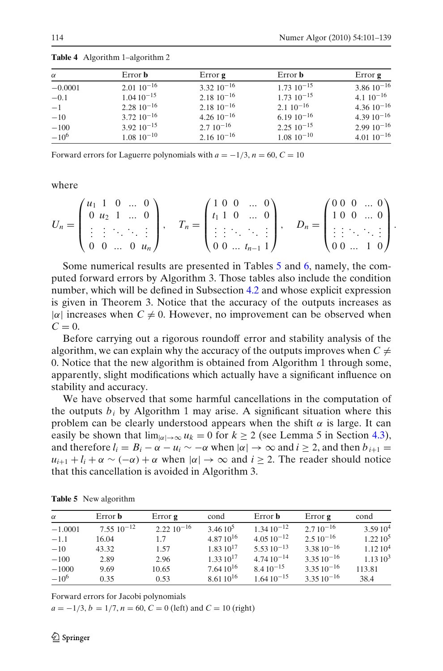| $\alpha$  | Error <b>b</b>    | Error $g$             | Error <b>b</b>         | Error <b>g</b> |
|-----------|-------------------|-----------------------|------------------------|----------------|
| $-0.0001$ | $2.0110^{-16}$    | $3.32\ 10^{-16}$      | $1.73 \times 10^{-15}$ | $3.8610^{-16}$ |
| $-0.1$    | $1.0410^{-15}$    | $2.18 \ 10^{-16}$     | $1.73 \times 10^{-15}$ | $4.110^{-16}$  |
| $-1$      | $2.28\ 10^{-16}$  | $2.18 \cdot 10^{-16}$ | $2.110^{-16}$          | $4.3610^{-16}$ |
| $-10$     | $3.72~10^{-16}$   | $4.2610^{-16}$        | $6.1910^{-16}$         | $4.3910^{-16}$ |
| $-100$    | $3.92\ 10^{-15}$  | $2.710^{-16}$         | $2.25 \times 10^{-15}$ | $2.9910^{-16}$ |
| $-10^{6}$ | $1.08 \ 10^{-10}$ | $2.16 \cdot 10^{-16}$ | $1.08 \; 10^{-10}$     | $4.0110^{-16}$ |

<span id="page-14-0"></span>**Table 4** Algorithm 1–algorithm 2

Forward errors for Laguerre polynomials with  $a = -1/3$ ,  $n = 60$ ,  $C = 10$ 

where

$$
U_n = \begin{pmatrix} u_1 & 1 & 0 & \dots & 0 \\ 0 & u_2 & 1 & \dots & 0 \\ \vdots & \vdots & \ddots & \ddots & \vdots \\ 0 & 0 & \dots & 0 & u_n \end{pmatrix}, \quad T_n = \begin{pmatrix} 1 & 0 & 0 & \dots & 0 \\ t_1 & 1 & 0 & \dots & 0 \\ \vdots & \vdots & \ddots & \ddots & \vdots \\ 0 & 0 & \dots & t_{n-1} & 1 \end{pmatrix}, \quad D_n = \begin{pmatrix} 0 & 0 & 0 & \dots & 0 \\ 1 & 0 & 0 & \dots & 0 \\ \vdots & \vdots & \ddots & \ddots & \vdots \\ 0 & 0 & \dots & 1 & 0 \end{pmatrix}.
$$

Some numerical results are presented in Tables [5](#page-13-0) and 6, namely, the computed forward errors by Algorithm 3. Those tables also include the condition number, which will be defined in Subsection [4.2](#page-16-0) and whose explicit expression is given in Theorem 3. Notice that the accuracy of the outputs increases as  $|\alpha|$  increases when  $C \neq 0$ . However, no improvement can be observed when  $C = 0$ .

Before carrying out a rigorous roundoff error and stability analysis of the algorithm, we can explain why the accuracy of the outputs improves when  $C \neq$ 0. Notice that the new algorithm is obtained from Algorithm 1 through some, apparently, slight modifications which actually have a significant influence on stability and accuracy.

We have observed that some harmful cancellations in the computation of the outputs  $b_i$  by Algorithm 1 may arise. A significant situation where this problem can be clearly understood appears when the shift  $\alpha$  is large. It can easily be shown that  $\lim_{|\alpha| \to \infty} u_k = 0$  for  $k \ge 2$  (see Lemma 5 in Section [4.3\)](#page-21-0), and therefore  $l_i = B_i - \alpha - u_i \sim -\alpha$  when  $|\alpha| \to \infty$  and  $i \ge 2$ , and then  $b_{i+1} =$  $u_{i+1} + l_i + \alpha \sim (-\alpha) + \alpha$  when  $|\alpha| \to \infty$  and  $i > 2$ . The reader should notice that this cancellation is avoided in Algorithm 3.

| $\alpha$  | Error <b>b</b>   | Error $g$       | cond          | Error <b>b</b> | Error $g$        | cond                |
|-----------|------------------|-----------------|---------------|----------------|------------------|---------------------|
| $-1.0001$ | $7.55\ 10^{-12}$ | $2.22 10^{-16}$ | $3.4610^5$    | $1.3410^{-12}$ | $2.710^{-16}$    | 3.5910 <sup>4</sup> |
| $-1.1$    | 16.04            | 1.7             | $4.8710^{16}$ | $4.0510^{-12}$ | $2.510^{-16}$    | 1.2210 <sup>5</sup> |
| $-10$     | 43.32            | 1.57            | $1.8310^{17}$ | $5.5310^{-13}$ | $3.3810^{-16}$   | 1.1210 <sup>4</sup> |
| $-100$    | 2.89             | 2.96            | $1.3310^{17}$ | $4.7410^{-14}$ | $3.3510^{-16}$   | 1.1310 <sup>3</sup> |
| $-1000$   | 9.69             | 10.65           | $7.6410^{16}$ | $8.410^{-15}$  | $3.3510^{-16}$   | 113.81              |
| $-10^{6}$ | 0.35             | 0.53            | $8.6110^{16}$ | $1.6410^{-15}$ | $3.35\,10^{-16}$ | 38.4                |

**Table 5** New algorithm

Forward errors for Jacobi polynomials

 $a = -1/3$ ,  $b = 1/7$ ,  $n = 60$ ,  $C = 0$  (left) and  $C = 10$  (right)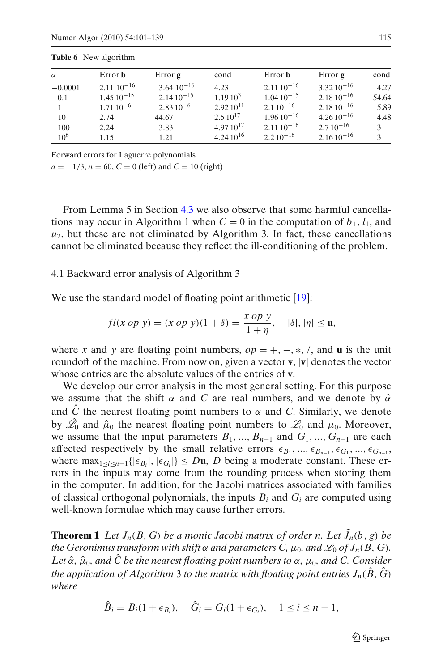| $\alpha$  | Error <b>b</b>        | Error <b>g</b>  | cond                | Error <b>b</b> | Error $g$       | cond          |
|-----------|-----------------------|-----------------|---------------------|----------------|-----------------|---------------|
| $-0.0001$ | $2.11 \cdot 10^{-16}$ | $3.64~10^{-16}$ | 4.23                | $2.1110^{-16}$ | $3.32.10^{-16}$ | 4.27          |
| $-0.1$    | $1.45\,10^{-15}$      | $2.1410^{-15}$  | 1.1910 <sup>3</sup> | $1.0410^{-15}$ | $2.1810^{-16}$  | 54.64         |
| $-1$      | $1.7110^{-6}$         | $2.8310^{-6}$   | $2.92.10^{11}$      | $2.110^{-16}$  | $2.1810^{-16}$  | 5.89          |
| $-10$     | 2.74                  | 44.67           | $2.510^{17}$        | $1.9610^{-16}$ | $4.2610^{-16}$  | 4.48          |
| $-100$    | 2.24                  | 3.83            | $4.9710^{17}$       | $2.1110^{-16}$ | $2.710^{-16}$   | $\mathcal{R}$ |
| $-10^{6}$ | 1.15                  | 1.21            | $4.2410^{16}$       | $2.210^{-16}$  | $2.1610^{-16}$  | $\mathcal{L}$ |

**Table 6** New algorithm

Forward errors for Laguerre polynomials

 $a = -1/3$ ,  $n = 60$ ,  $C = 0$  (left) and  $C = 10$  (right)

From Lemma 5 in Section [4.3](#page-21-0) we also observe that some harmful cancellations may occur in Algorithm 1 when  $C = 0$  in the computation of  $b_1$ ,  $l_1$ , and  $u_2$ , but these are not eliminated by Algorithm 3. In fact, these cancellations cannot be eliminated because they reflect the ill-conditioning of the problem.

#### 4.1 Backward error analysis of Algorithm 3

We use the standard model of floating point arithmetic [\[19](#page-38-0)]:

$$
fl(x \text{ op } y) = (x \text{ op } y)(1 + \delta) = \frac{x \text{ op } y}{1 + \eta}, \quad |\delta|, |\eta| \le \mathbf{u},
$$

where *x* and *y* are floating point numbers,  $op = +, -, *, /$ , and **u** is the unit roundoff of the machine. From now on, given a vector **v**, |**v**| denotes the vector whose entries are the absolute values of the entries of **v**.

We develop our error analysis in the most general setting. For this purpose we assume that the shift  $\alpha$  and *C* are real numbers, and we denote by  $\hat{\alpha}$ and  $\hat{C}$  the nearest floating point numbers to  $\alpha$  and *C*. Similarly, we denote by  $\hat{\mathscr{L}}_0$  and  $\hat{\mu}_0$  the nearest floating point numbers to  $\mathscr{L}_0$  and  $\mu_0$ . Moreover, we assume that the input parameters  $B_1, ..., B_{n-1}$  and  $G_1, ..., G_{n-1}$  are each affected respectively by the small relative errors  $\epsilon_{B_1},...,\epsilon_{B_{n-1}},\epsilon_{G_1},...,\epsilon_{G_{n-1}},$ where  $\max_{1 \leq i \leq n-1} \{|\epsilon_{B_i}|, |\epsilon_{G_i}|\} \leq D\mathbf{u}, D$  being a moderate constant. These errors in the inputs may come from the rounding process when storing them in the computer. In addition, for the Jacobi matrices associated with families of classical orthogonal polynomials, the inputs  $B_i$  and  $G_i$  are computed using well-known formulae which may cause further errors.

**Theorem 1** *Let*  $J_n(B, G)$  *be a monic Jacobi matrix of order n. Let*  $J_n(b, g)$  *be the Geronimus transform with shift*  $\alpha$  *and parameters C,*  $\mu_0$ *, and*  $\mathcal{L}_0$  *of*  $J_n(B, G)$ *.* Let  $\hat{\alpha}$ ,  $\hat{\mu}_0$ , and  $\hat{C}$  be the nearest floating point numbers to  $\alpha$ ,  $\mu_0$ , and C. Consider *the application of Algorithm* 3 *to the matrix with floating point entries*  $J_n(\hat{B}, \hat{G})$ *where*

$$
\hat{B}_i = B_i(1 + \epsilon_{B_i}), \quad \hat{G}_i = G_i(1 + \epsilon_{G_i}), \quad 1 \le i \le n - 1,
$$

 $\mathcal{D}$  Springer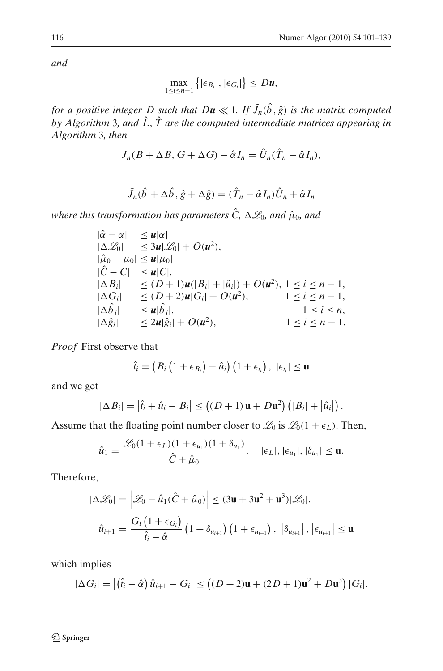<span id="page-16-0"></span>*and*

$$
\max_{1\leq i\leq n-1}\big\{|\epsilon_{B_i}|, |\epsilon_{G_i}|\big\}\leq D\mathbf{u},
$$

*for a positive integer D such that*  $D\boldsymbol{u} \ll 1$ *. If*  $\tilde{J}_n(\hat{b}, \hat{g})$  *is the matrix computed by Algorithm* 3*, and*  $\hat{L}$ *,*  $\hat{T}$  *are the computed intermediate matrices appearing in Algorithm* 3*, then*

$$
J_n(B+\Delta B, G+\Delta G) - \hat{\alpha} I_n = \hat{U}_n(\hat{T}_n - \hat{\alpha} I_n),
$$

$$
\tilde{J}_n(\hat{b} + \Delta \hat{b}, \hat{g} + \Delta \hat{g}) = (\hat{T}_n - \hat{\alpha} I_n) \hat{U}_n + \hat{\alpha} I_n
$$

where this transformation has parameters  $\hat{C}$ ,  $\Delta\mathscr{L}_0$ , and  $\hat{\mu}_0$ , and

$$
|\hat{\alpha} - \alpha| \le u|\alpha| |\Delta \mathcal{L}_0| \le 3u|\mathcal{L}_0| + O(u^2), |\hat{\mu}_0 - \mu_0| \le u|\mu_0| |\hat{C} - C| \le u|C|, |\Delta B_i| \le (D+1)u(|B_i| + |\hat{u}_i|) + O(u^2), 1 \le i \le n-1, |\Delta G_i| \le (D+2)u|G_i| + O(u^2), 1 \le i \le n-1, |\Delta \hat{b}_i| \le u|\hat{b}_i|, 1 \le i \le n, |\Delta \hat{g}_i| \le 2u|\hat{g}_i| + O(u^2), 1 \le i \le n-1.
$$

*Proof* First observe that

$$
\hat{t}_i = (B_i (1 + \epsilon_{B_i}) - \hat{u}_i) (1 + \epsilon_{t_i}), \ |\epsilon_{t_i}| \leq \mathbf{u}
$$

and we get

$$
|\Delta B_i| = \left|\hat{t}_i + \hat{u}_i - B_i\right| \leq \left((D+1)\mathbf{u} + D\mathbf{u}^2\right) \left(|B_i| + \left|\hat{u}_i\right|\right).
$$

Assume that the floating point number closer to  $\mathcal{L}_0$  is  $\mathcal{L}_0(1 + \epsilon_L)$ . Then,

$$
\hat{u}_1 = \frac{\mathscr{L}_0(1+\epsilon_L)(1+\epsilon_{u_1})(1+\delta_{u_1})}{\hat{C}+\hat{\mu}_0}, \quad |\epsilon_L|, |\epsilon_{u_1}|, |\delta_{u_1}| \leq \mathbf{u}.
$$

Therefore,

$$
|\Delta \mathcal{L}_0| = \left| \mathcal{L}_0 - \hat{u}_1(\hat{C} + \hat{\mu}_0) \right| \le (3\mathbf{u} + 3\mathbf{u}^2 + \mathbf{u}^3) |\mathcal{L}_0|.
$$
  

$$
\hat{u}_{i+1} = \frac{G_i (1 + \epsilon_{G_i})}{\hat{t}_i - \hat{\alpha}} (1 + \delta_{u_{i+1}}) (1 + \epsilon_{u_{i+1}}), |\delta_{u_{i+1}}|, |\epsilon_{u_{i+1}}| \le \mathbf{u}
$$

which implies

$$
|\Delta G_i| = |(\hat{t}_i - \hat{\alpha}) \hat{u}_{i+1} - G_i| \le ((D+2)\mathbf{u} + (2D+1)\mathbf{u}^2 + D\mathbf{u}^3) |G_i|.
$$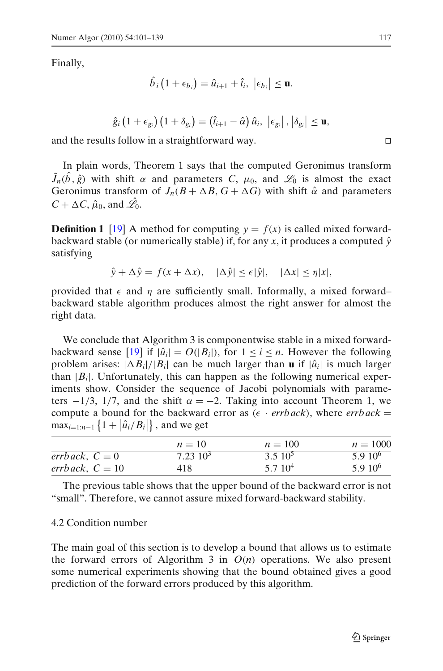Finally,

$$
\hat{b}_i\left(1+\epsilon_{b_i}\right)=\hat{u}_{i+1}+\hat{t}_i, \ |\epsilon_{b_i}|\leq \mathbf{u}.
$$

$$
\hat{g}_i\left(1+\epsilon_{g_i}\right)\left(1+\delta_{g_i}\right)=\left(\hat{t}_{i+1}-\hat{\alpha}\right)\hat{u}_i,\,\,\left|\epsilon_{g_i}\right|,\left|\delta_{g_i}\right|\leq\mathbf{u},
$$

and the results follow in a straightforward way. ⊓⊔

In plain words, Theorem 1 says that the computed Geronimus transform  $\tilde{J}_n(\hat{b}, \hat{g})$  with shift  $\alpha$  and parameters *C*,  $\mu_0$ , and  $\mathcal{L}_0$  is almost the exact Geronimus transform of  $J_n(B + \Delta B, G + \Delta G)$  with shift  $\hat{\alpha}$  and parameters  $C + \Delta C$ ,  $\hat{\mu}_0$ , and  $\hat{\mathscr{L}_0}$ .

**Definition 1** [\[19](#page-38-0)] A method for computing  $y = f(x)$  is called mixed forwardbackward stable (or numerically stable) if, for any x, it produces a computed  $\hat{v}$ satisfying

 $\hat{y} + \Delta \hat{y} = f(x + \Delta x), \quad |\Delta \hat{y}| \le \epsilon |\hat{y}|, \quad |\Delta x| \le \eta |x|,$ 

provided that  $\epsilon$  and  $\eta$  are sufficiently small. Informally, a mixed forward– backward stable algorithm produces almost the right answer for almost the right data.

We conclude that Algorithm 3 is componentwise stable in a mixed forward-backward sense [\[19](#page-38-0)] if  $|\hat{u}_i| = O(|B_i|)$ , for  $1 \le i \le n$ . However the following problem arises:  $|\Delta B_i|/|B_i|$  can be much larger than **u** if  $|\hat{u}_i|$  is much larger than  $|B_i|$ . Unfortunately, this can happen as the following numerical experiments show. Consider the sequence of Jacobi polynomials with parameters  $-1/3$ , 1/7, and the shift  $\alpha = -2$ . Taking into account Theorem 1, we compute a bound for the backward error as  $(\epsilon \cdot \text{errback})$ , where  $\text{errback} =$  $\max_{i=1:n-1} \{ 1 + |\hat{u}_i/B_i| \}$ , and we get

|                   | $n = 10$     | $n = 100$   | $n = 1000$  |
|-------------------|--------------|-------------|-------------|
| errback, $C=0$    | $7.23\;10^3$ | $3.510^5$   | $5.910^{6}$ |
| errback, $C = 10$ | 418          | $5.710^{4}$ | $5.910^{6}$ |

The previous table shows that the upper bound of the backward error is not "small". Therefore, we cannot assure mixed forward-backward stability.

#### 4.2 Condition number

The main goal of this section is to develop a bound that allows us to estimate the forward errors of Algorithm 3 in  $O(n)$  operations. We also present some numerical experiments showing that the bound obtained gives a good prediction of the forward errors produced by this algorithm.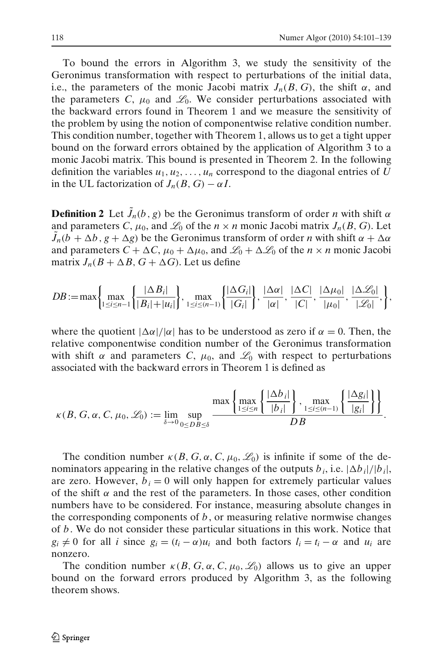To bound the errors in Algorithm 3, we study the sensitivity of the Geronimus transformation with respect to perturbations of the initial data, i.e., the parameters of the monic Jacobi matrix  $J_n(B, G)$ , the shift  $\alpha$ , and the parameters C,  $\mu_0$  and  $\mathcal{L}_0$ . We consider perturbations associated with the backward errors found in Theorem 1 and we measure the sensitivity of the problem by using the notion of componentwise relative condition number. This condition number, together with Theorem 1, allows us to get a tight upper bound on the forward errors obtained by the application of Algorithm 3 to a monic Jacobi matrix. This bound is presented in Theorem 2. In the following definition the variables  $u_1, u_2, \ldots, u_n$  correspond to the diagonal entries of *U* in the UL factorization of  $J_n(B, G) - \alpha I$ .

**Definition 2** Let  $\tilde{J}_n(b, g)$  be the Geronimus transform of order *n* with shift  $\alpha$ and parameters *C*,  $\mu_0$ , and  $\mathcal{L}_0$  of the  $n \times n$  monic Jacobi matrix  $J_n(B, G)$ . Let  $\tilde{J}_n(b + \Delta b, g + \Delta g)$  be the Geronimus transform of order *n* with shift  $\alpha + \Delta \alpha$ and parameters  $C + \Delta C$ ,  $\mu_0 + \Delta \mu_0$ , and  $\mathcal{L}_0 + \Delta \mathcal{L}_0$  of the  $n \times n$  monic Jacobi matrix  $J_n(B + \Delta B, G + \Delta G)$ . Let us define

$$
DB := \max\left\{\max_{1 \leq i \leq n-1} \left\{\frac{|\Delta B_i|}{|B_i|+|u_i|}\right\}, \max_{1 \leq i \leq (n-1)} \left\{\frac{|\Delta G_i|}{|G_i|}\right\}, \frac{|\Delta \alpha|}{|\alpha|}, \frac{|\Delta C|}{|C|}, \frac{|\Delta \mu_0|}{|\mu_0|}, \frac{|\Delta \mathcal{L}_0|}{|\mathcal{L}_0|}, \right\},
$$

where the quotient  $|\Delta \alpha|/|\alpha|$  has to be understood as zero if  $\alpha = 0$ . Then, the relative componentwise condition number of the Geronimus transformation with shift  $\alpha$  and parameters *C*,  $\mu_0$ , and  $\mathcal{L}_0$  with respect to perturbations associated with the backward errors in Theorem 1 is defined as

$$
\kappa(B, G, \alpha, C, \mu_0, \mathcal{L}_0) := \lim_{\delta \to 0} \sup_{0 \leq DB \leq \delta} \frac{\max \left\{ \frac{|\Delta b_i|}{|b_i|} \right\}, \max_{1 \leq i \leq (n-1)} \left\{ \frac{|\Delta g_i|}{|g_i|} \right\} \right\}}{DB}.
$$

The condition number  $\kappa(B, G, \alpha, C, \mu_0, \mathcal{L}_0)$  is infinite if some of the denominators appearing in the relative changes of the outputs  $b_i$ , i.e.  $|\Delta b_i|/|b_i|$ , are zero. However,  $b_i = 0$  will only happen for extremely particular values of the shift  $\alpha$  and the rest of the parameters. In those cases, other condition numbers have to be considered. For instance, measuring absolute changes in the corresponding components of *b*, or measuring relative normwise changes of *b*. We do not consider these particular situations in this work. Notice that  $g_i \neq 0$  for all *i* since  $g_i = (t_i - \alpha)u_i$  and both factors  $l_i = t_i - \alpha$  and  $u_i$  are nonzero.

The condition number  $\kappa(B, G, \alpha, C, \mu_0, \mathcal{L}_0)$  allows us to give an upper bound on the forward errors produced by Algorithm 3, as the following theorem shows.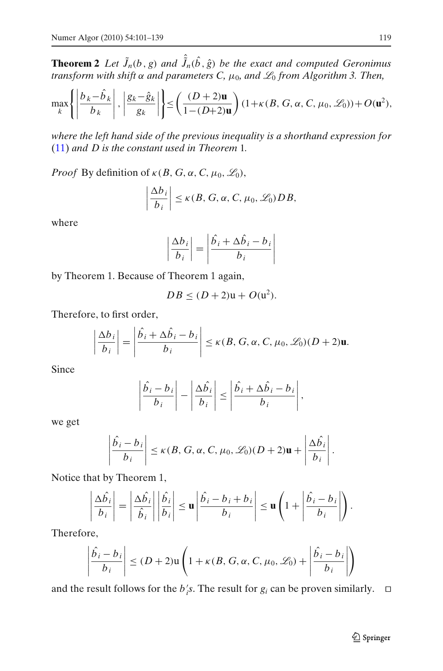<span id="page-19-0"></span>**Theorem 2** *Let*  $\tilde{J}_n(b, g)$  *and*  $\hat{\tilde{J}}_n(\hat{b}, \hat{g})$  *be the exact and computed Geronimus transform with shift*  $\alpha$  *and parameters C,*  $\mu_0$ *, and*  $\mathcal{L}_0$  *from Algorithm 3. Then,* 

$$
\max_{k} \left\{ \left| \frac{b_k - \hat{b}_k}{b_k} \right|, \left| \frac{g_k - \hat{g}_k}{g_k} \right| \right\} \le \left( \frac{(D+2)\mathbf{u}}{1 - (D+2)\mathbf{u}} \right) (1 + \kappa(B, G, \alpha, C, \mu_0, \mathcal{L}_0)) + O(\mathbf{u}^2),
$$

*where the left hand side of the previous inequality is a shorthand expression for* [\(11\)](#page-10-0) *and D is the constant used in Theorem* 1*.*

*Proof* By definition of  $\kappa(B, G, \alpha, C, \mu_0, \mathcal{L}_0)$ ,

$$
\left|\frac{\Delta b_i}{b_i}\right| \leq \kappa(B, G, \alpha, C, \mu_0, \mathscr{L}_0)DB,
$$

where

$$
\left|\frac{\Delta b_i}{b_i}\right| = \left|\frac{\hat{b_i} + \Delta \hat{b_i} - b_i}{b_i}\right|
$$

by Theorem 1. Because of Theorem 1 again,

$$
DB \le (D+2)u + O(u^2).
$$

Therefore, to first order,

$$
\left|\frac{\Delta b_i}{b_i}\right| = \left|\frac{\hat{b_i} + \Delta \hat{b_i} - b_i}{b_i}\right| \le \kappa(B, G, \alpha, C, \mu_0, \mathscr{L}_0)(D+2)\mathbf{u}.
$$

Since

$$
\left|\frac{\hat{b}_i - b_i}{b_i}\right| - \left|\frac{\Delta \hat{b}_i}{b_i}\right| \le \left|\frac{\hat{b}_i + \Delta \hat{b}_i - b_i}{b_i}\right|,
$$

we get

$$
\left|\frac{\hat{b}_i-b_i}{b_i}\right| \le \kappa(B, G, \alpha, C, \mu_0, \mathscr{L}_0)(D+2)\mathbf{u} + \left|\frac{\Delta \hat{b}_i}{b_i}\right|.
$$

Notice that by Theorem 1,

$$
\left|\frac{\Delta\hat{b}_i}{b_i}\right| = \left|\frac{\Delta\hat{b}_i}{\hat{b}_i}\right| \left|\frac{\hat{b}_i}{b_i}\right| \le \mathbf{u} \left|\frac{\hat{b}_i - b_i + b_i}{b_i}\right| \le \mathbf{u} \left(1 + \left|\frac{\hat{b}_i - b_i}{b_i}\right|\right).
$$

Therefore,

$$
\left|\frac{\hat{b}_i - b_i}{b_i}\right| \le (D + 2)\mathsf{u}\left(1 + \kappa(B, G, \alpha, C, \mu_0, \mathscr{L}_0) + \left|\frac{\hat{b}_i - b_i}{b_i}\right|\right)
$$

and the result follows for the *b*<sup>*i*</sup><sub>i</sub>s. The result for *g*<sup>*i*</sup> can be proven similarly. □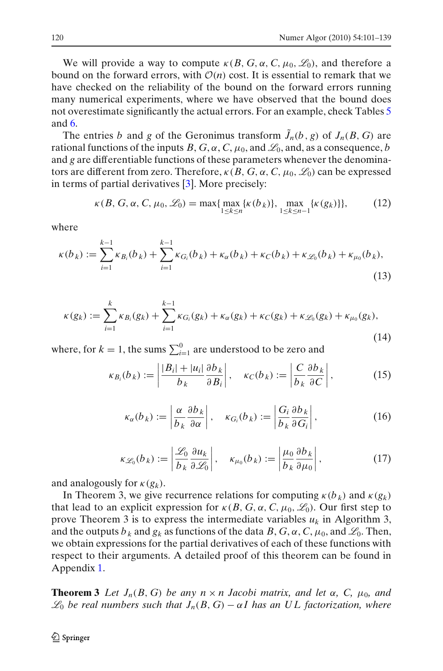We will provide a way to compute  $\kappa(B, G, \alpha, C, \mu_0, \mathcal{L}_0)$ , and therefore a bound on the forward errors, with  $\mathcal{O}(n)$  cost. It is essential to remark that we have checked on the reliability of the bound on the forward errors running many numerical experiments, where we have observed that the bound does not overestimate significantly the actual errors. For an example, check Tables [5](#page-13-0) and [6.](#page-14-0)

The entries *b* and *g* of the Geronimus transform  $\tilde{J}_n(b, g)$  of  $J_n(B, G)$  are rational functions of the inputs  $B, G, \alpha, C, \mu_0$ , and  $\mathcal{L}_0$ , and, as a consequence, *b* and *g* are differentiable functions of these parameters whenever the denominators are different from zero. Therefore,  $\kappa(B, G, \alpha, C, \mu_0, \mathcal{L}_0)$  can be expressed in terms of partial derivatives [\[3](#page-38-0)]. More precisely:

$$
\kappa(B, G, \alpha, C, \mu_0, \mathcal{L}_0) = \max\{\max_{1 \le k \le n} \{\kappa(b_k)\}, \max_{1 \le k \le n-1} \{\kappa(g_k)\}\},\tag{12}
$$

where

$$
\kappa(b_k) := \sum_{i=1}^{k-1} \kappa_{B_i}(b_k) + \sum_{i=1}^{k-1} \kappa_{G_i}(b_k) + \kappa_{\alpha}(b_k) + \kappa_{C}(b_k) + \kappa_{\mathcal{L}_0}(b_k) + \kappa_{\mu_0}(b_k),
$$
\n(13)

$$
\kappa(g_k) := \sum_{i=1}^k \kappa_{B_i}(g_k) + \sum_{i=1}^{k-1} \kappa_{G_i}(g_k) + \kappa_{\alpha}(g_k) + \kappa_{C}(g_k) + \kappa_{\mathcal{L}_0}(g_k) + \kappa_{\mu_0}(g_k),
$$
\n(14)

where, for  $k = 1$ , the sums  $\sum_{i=1}^{0}$  are understood to be zero and

$$
\kappa_{B_i}(b_k) := \left| \frac{|B_i| + |u_i|}{b_k} \frac{\partial b_k}{\partial B_i} \right|, \quad \kappa_C(b_k) := \left| \frac{C}{b_k} \frac{\partial b_k}{\partial C} \right|,
$$
 (15)

$$
\kappa_{\alpha}(b_k) := \left| \frac{\alpha}{b_k} \frac{\partial b_k}{\partial \alpha} \right|, \quad \kappa_{G_i}(b_k) := \left| \frac{G_i}{b_k} \frac{\partial b_k}{\partial G_i} \right|,
$$
 (16)

$$
\kappa_{\mathscr{L}_0}(b_k) := \left| \frac{\mathscr{L}_0}{b_k} \frac{\partial u_k}{\partial \mathscr{L}_0} \right|, \quad \kappa_{\mu_0}(b_k) := \left| \frac{\mu_0}{b_k} \frac{\partial b_k}{\partial \mu_0} \right|,
$$
 (17)

and analogously for  $\kappa(g_k)$ .

In Theorem 3, we give recurrence relations for computing  $\kappa(b_k)$  and  $\kappa(g_k)$ that lead to an explicit expression for  $\kappa(B, G, \alpha, C, \mu_0, \mathcal{L}_0)$ . Our first step to prove Theorem 3 is to express the intermediate variables  $u_k$  in Algorithm 3, and the outputs  $b_k$  and  $g_k$  as functions of the data  $B, G, \alpha, C, \mu_0$ , and  $\mathcal{L}_0$ . Then, we obtain expressions for the partial derivatives of each of these functions with respect to their arguments. A detailed proof of this theorem can be found in Appendix [1.](#page-28-0)

**Theorem 3** *Let*  $J_n(B, G)$  *be any n*  $\times$  *n Jacobi matrix, and let*  $\alpha$ *, C<sub>r</sub>*  $\mu_0$ *, and*  $\mathcal{L}_0$  *be real numbers such that*  $J_n(B, G) - \alpha I$  *has an UL factorization, where*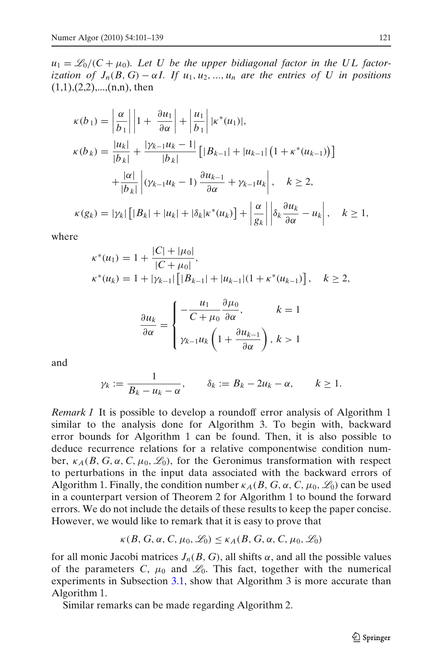<span id="page-21-0"></span> $u_1 = \mathcal{L}_0/(\mathcal{C} + \mu_0)$ . Let U be the upper bidiagonal factor in the UL factor*ization of*  $J_n(B, G) - \alpha I$ *. If*  $u_1, u_2, ..., u_n$  *are the entries of U in positions*  $(1,1),(2,2),...,(n,n)$ , then

$$
\kappa(b_1) = \left|\frac{\alpha}{b_1}\right| \left|1 + \frac{\partial u_1}{\partial \alpha}\right| + \left|\frac{u_1}{b_1}\right| |\kappa^*(u_1)|,
$$
  
\n
$$
\kappa(b_k) = \frac{|u_k|}{|b_k|} + \frac{|\gamma_{k-1}u_k - 1|}{|b_k|} \left[|B_{k-1}| + |u_{k-1}| \left(1 + \kappa^*(u_{k-1})\right)\right]
$$
  
\n
$$
+ \frac{|\alpha|}{|b_k|} \left| (\gamma_{k-1}u_k - 1) \frac{\partial u_{k-1}}{\partial \alpha} + \gamma_{k-1}u_k \right|, \quad k \ge 2,
$$
  
\n
$$
\kappa(g_k) = |\gamma_k| \left[|B_k| + |u_k| + |\delta_k| \kappa^*(u_k)\right] + \left|\frac{\alpha}{g_k}\right| \left|\delta_k \frac{\partial u_k}{\partial \alpha} - u_k\right|, \quad k \ge 1,
$$

where

$$
\kappa^*(u_1) = 1 + \frac{|C| + |\mu_0|}{|C + \mu_0|},
$$
  
\n
$$
\kappa^*(u_k) = 1 + |\gamma_{k-1}| \left[ |B_{k-1}| + |u_{k-1}| (1 + \kappa^*(u_{k-1}) \right], \quad k \ge 2,
$$

$$
\frac{\partial u_k}{\partial \alpha} = \begin{cases}\n-\frac{u_1}{C + \mu_0} \frac{\partial \mu_0}{\partial \alpha}, & k = 1 \\
\gamma_{k-1} u_k \left(1 + \frac{\partial u_{k-1}}{\partial \alpha}\right), & k > 1\n\end{cases}
$$

and

$$
\gamma_k := \frac{1}{B_k - u_k - \alpha}, \qquad \delta_k := B_k - 2u_k - \alpha, \qquad k \ge 1.
$$

*Remark 1* It is possible to develop a roundoff error analysis of Algorithm 1 similar to the analysis done for Algorithm 3. To begin with, backward error bounds for Algorithm 1 can be found. Then, it is also possible to deduce recurrence relations for a relative componentwise condition number,  $\kappa_A(B, G, \alpha, C, \mu_0, \mathcal{L}_0)$ , for the Geronimus transformation with respect to perturbations in the input data associated with the backward errors of Algorithm 1. Finally, the condition number  $\kappa_A(B, G, \alpha, C, \mu_0, \mathcal{L}_0)$  can be used in a counterpart version of Theorem 2 for Algorithm 1 to bound the forward errors. We do not include the details of these results to keep the paper concise. However, we would like to remark that it is easy to prove that

$$
\kappa(B, G, \alpha, C, \mu_0, \mathcal{L}_0) \le \kappa_A(B, G, \alpha, C, \mu_0, \mathcal{L}_0)
$$

for all monic Jacobi matrices  $J_n(B, G)$ , all shifts  $\alpha$ , and all the possible values of the parameters *C*,  $\mu_0$  and  $\mathcal{L}_0$ . This fact, together with the numerical experiments in Subsection [3.1,](#page-10-0) show that Algorithm 3 is more accurate than Algorithm 1.

Similar remarks can be made regarding Algorithm 2.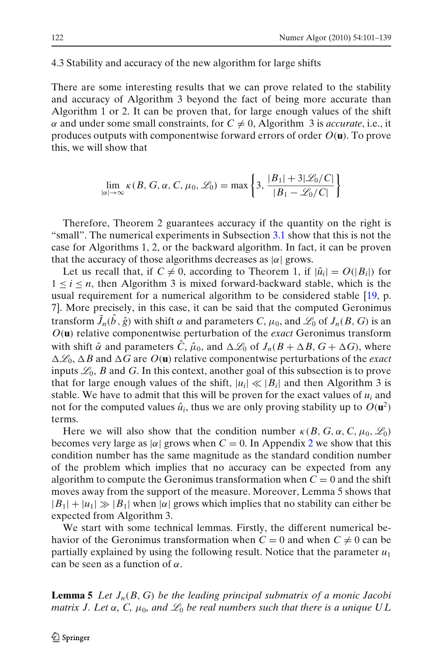#### 4.3 Stability and accuracy of the new algorithm for large shifts

There are some interesting results that we can prove related to the stability and accuracy of Algorithm 3 beyond the fact of being more accurate than Algorithm 1 or 2. It can be proven that, for large enough values of the shift  $\alpha$  and under some small constraints, for  $C \neq 0$ , Algorithm 3 is *accurate*, i.e., it produces outputs with componentwise forward errors of order *O*(**u**). To prove this, we will show that

$$
\lim_{|\alpha| \to \infty} \kappa(B, G, \alpha, C, \mu_0, \mathcal{L}_0) = \max \left\{ 3, \frac{|B_1| + 3|\mathcal{L}_0/C|}{|B_1 - \mathcal{L}_0/C|} \right\}
$$

Therefore, Theorem 2 guarantees accuracy if the quantity on the right is "small". The numerical experiments in Subsection [3.1](#page-10-0) show that this is not the case for Algorithms 1, 2, or the backward algorithm. In fact, it can be proven that the accuracy of those algorithms decreases as  $|\alpha|$  grows.

Let us recall that, if  $C \neq 0$ , according to Theorem 1, if  $|\hat{u}_i| = O(|B_i|)$  for  $1 \leq i \leq n$ , then Algorithm 3 is mixed forward-backward stable, which is the usual requirement for a numerical algorithm to be considered stable [\[19](#page-38-0), p. 7]. More precisely, in this case, it can be said that the computed Geronimus transform  $\tilde{J}_n(\hat{b}, \hat{g})$  with shift  $\alpha$  and parameters  $C$ ,  $\mu_0$ , and  $\mathscr{L}_0$  of  $J_n(B, G)$  is an *O*(**u**) relative componentwise perturbation of the *exact* Geronimus transform with shift  $\hat{\alpha}$  and parameters  $\hat{C}$ ,  $\hat{\mu}_0$ , and  $\Delta \mathcal{L}_0$  of  $J_n(B + \Delta B, G + \Delta G)$ , where  $\Delta\mathcal{L}_0$ ,  $\Delta B$  and  $\Delta G$  are  $O(\mathbf{u})$  relative componentwise perturbations of the *exact* inputs  $\mathcal{L}_0$ , *B* and *G*. In this context, another goal of this subsection is to prove that for large enough values of the shift,  $|u_i| \ll |B_i|$  and then Algorithm 3 is stable. We have to admit that this will be proven for the exact values of  $u_i$  and not for the computed values  $\hat{u}_i$ , thus we are only proving stability up to  $O(\mathbf{u}^2)$ terms.

Here we will also show that the condition number  $\kappa(B, G, \alpha, C, \mu_0, \mathcal{L}_0)$ becomes very large as  $|\alpha|$  grows when  $C = 0$ . In Appendix [2](#page-33-0) we show that this condition number has the same magnitude as the standard condition number of the problem which implies that no accuracy can be expected from any algorithm to compute the Geronimus transformation when  $C = 0$  and the shift moves away from the support of the measure. Moreover, Lemma 5 shows that  $|B_1|+|u_1|\gg |B_1|$  when  $|\alpha|$  grows which implies that no stability can either be expected from Algorithm 3.

We start with some technical lemmas. Firstly, the different numerical behavior of the Geronimus transformation when  $C = 0$  and when  $C \neq 0$  can be partially explained by using the following result. Notice that the parameter *u*<sup>1</sup> can be seen as a function of  $\alpha$ .

**Lemma 5** *Let Jn*(*B*, *G*) *be the leading principal submatrix of a monic Jacobi matrix J. Let*  $\alpha$ , C,  $\mu_0$ , and  $\mathcal{L}_0$  be real numbers such that there is a unique UL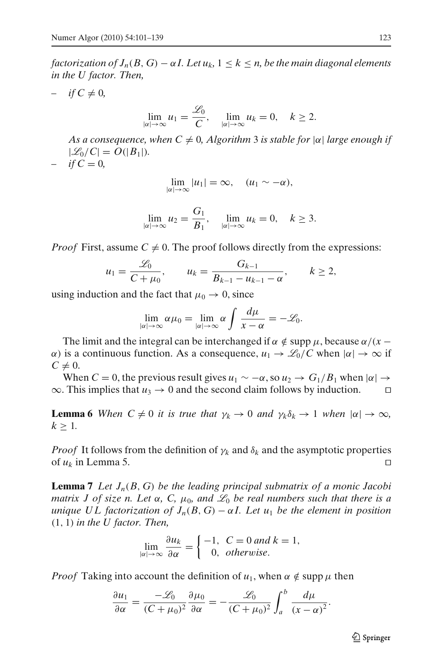<span id="page-23-0"></span>*factorization of*  $J_n(B, G) - \alpha I$ *. Let*  $u_k$ ,  $1 \leq k \leq n$ , be the main diagonal elements *in the U factor. Then,*

 $if C \neq 0,$ 

$$
\lim_{|\alpha| \to \infty} u_1 = \frac{\mathcal{L}_0}{C}, \quad \lim_{|\alpha| \to \infty} u_k = 0, \quad k \ge 2.
$$

*As a consequence, when C*  $\neq$  *0, Algorithm* 3 *is stable for*  $|\alpha|$  *large enough if*  $|\mathcal{L}_0/C| = O(|B_1|).$ 

 $if C = 0,$ 

$$
\lim_{|\alpha| \to \infty} |u_1| = \infty, \quad (u_1 \sim -\alpha),
$$

$$
\lim_{|\alpha| \to \infty} u_2 = \frac{G_1}{B_1}, \quad \lim_{|\alpha| \to \infty} u_k = 0, \quad k \ge 3.
$$

*Proof* First, assume  $C \neq 0$ . The proof follows directly from the expressions:

$$
u_1 = \frac{\mathcal{L}_0}{C + \mu_0},
$$
  $u_k = \frac{G_{k-1}}{B_{k-1} - u_{k-1} - \alpha},$   $k \ge 2,$ 

using induction and the fact that  $\mu_0 \rightarrow 0$ , since

$$
\lim_{|\alpha| \to \infty} \alpha \mu_0 = \lim_{|\alpha| \to \infty} \alpha \int \frac{d\mu}{x - \alpha} = -\mathscr{L}_0.
$$

The limit and the integral can be interchanged if  $\alpha \notin \text{supp }\mu$ , because  $\alpha/(x - \alpha)$  $α)$  is a continuous function. As a consequence,  $u_1 \rightarrow \mathcal{L}_0/C$  when  $|α| \rightarrow ∞$  if  $C \neq 0$ .

When  $C = 0$ , the previous result gives  $u_1 \sim -\alpha$ , so  $u_2 \to G_1/B_1$  when  $|\alpha| \to$  $\infty$ . This implies that  $u_3 \to 0$  and the second claim follows by induction. □

**Lemma 6** *When*  $C \neq 0$  *it is true that*  $\gamma_k \to 0$  *and*  $\gamma_k \delta_k \to 1$  *when*  $|\alpha| \to \infty$ *,*  $k \geq 1$ .

*Proof* It follows from the definition of  $\gamma_k$  and  $\delta_k$  and the asymptotic properties of  $u_k$  in Lemma 5. □

**Lemma 7** *Let Jn*(*B*, *G*) *be the leading principal submatrix of a monic Jacobi matrix J of size n. Let*  $\alpha$ , C,  $\mu_0$ , and  $\mathcal{L}_0$  be real numbers such that there is a *unique UL factorization of*  $J_n(B, G) - \alpha I$ . Let  $u_1$  be the element in position (1, 1) *in the U factor. Then,*

$$
\lim_{|\alpha| \to \infty} \frac{\partial u_k}{\partial \alpha} = \begin{cases} -1, & C = 0 \text{ and } k = 1, \\ 0, & otherwise. \end{cases}
$$

*Proof* Taking into account the definition of  $u_1$ , when  $\alpha \notin \text{supp }\mu$  then

$$
\frac{\partial u_1}{\partial \alpha} = \frac{-\mathscr{L}_0}{(C + \mu_0)^2} \frac{\partial \mu_0}{\partial \alpha} = -\frac{\mathscr{L}_0}{(C + \mu_0)^2} \int_a^b \frac{d\mu}{(x - \alpha)^2}.
$$

 $\mathcal{D}$  Springer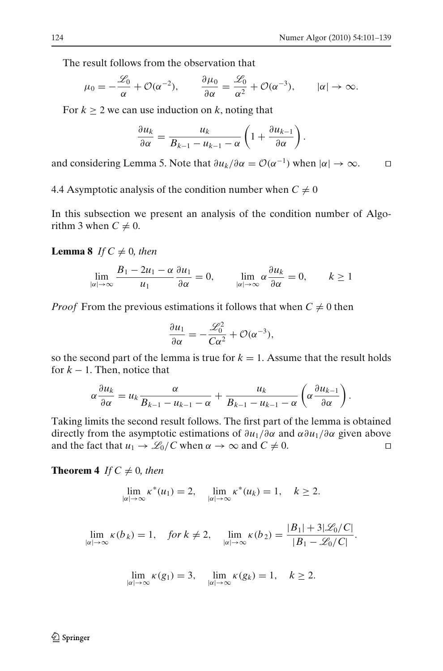.

The result follows from the observation that

$$
\mu_0 = -\frac{\mathscr{L}_0}{\alpha} + \mathcal{O}(\alpha^{-2}), \qquad \frac{\partial \mu_0}{\partial \alpha} = \frac{\mathscr{L}_0}{\alpha^2} + \mathcal{O}(\alpha^{-3}), \qquad |\alpha| \to \infty.
$$

For  $k > 2$  we can use induction on k, noting that

$$
\frac{\partial u_k}{\partial \alpha} = \frac{u_k}{B_{k-1} - u_{k-1} - \alpha} \left( 1 + \frac{\partial u_{k-1}}{\partial \alpha} \right)
$$

and considering Lemma 5. Note that  $\partial u_k / \partial \alpha = \mathcal{O}(\alpha^{-1})$  when  $|\alpha| \to \infty$ . □

4.4 Asymptotic analysis of the condition number when  $C \neq 0$ 

In this subsection we present an analysis of the condition number of Algorithm 3 when  $C \neq 0$ .

**Lemma 8** *If*  $C \neq 0$ *, then* 

$$
\lim_{|\alpha| \to \infty} \frac{B_1 - 2u_1 - \alpha}{u_1} \frac{\partial u_1}{\partial \alpha} = 0, \qquad \lim_{|\alpha| \to \infty} \alpha \frac{\partial u_k}{\partial \alpha} = 0, \qquad k \ge 1
$$

*Proof* From the previous estimations it follows that when  $C \neq 0$  then

$$
\frac{\partial u_1}{\partial \alpha} = -\frac{\mathcal{L}_0^2}{C\alpha^2} + \mathcal{O}(\alpha^{-3}),
$$

so the second part of the lemma is true for  $k = 1$ . Assume that the result holds for  $k - 1$ . Then, notice that

$$
\alpha \frac{\partial u_k}{\partial \alpha} = u_k \frac{\alpha}{B_{k-1} - u_{k-1} - \alpha} + \frac{u_k}{B_{k-1} - u_{k-1} - \alpha} \left( \alpha \frac{\partial u_{k-1}}{\partial \alpha} \right).
$$

Taking limits the second result follows. The first part of the lemma is obtained directly from the asymptotic estimations of ∂*u*1/∂α and α∂*u*1/∂α given above and the fact that  $u_1 \to \mathcal{L}_0/C$  when  $\alpha \to \infty$  and  $C \neq 0$ . □

**Theorem 4** *If*  $C \neq 0$ *, then* 

$$
\lim_{|\alpha| \to \infty} \kappa^*(u_1) = 2, \quad \lim_{|\alpha| \to \infty} \kappa^*(u_k) = 1, \quad k \ge 2.
$$

$$
\lim_{|\alpha| \to \infty} \kappa(b_k) = 1, \quad \text{for } k \neq 2, \quad \lim_{|\alpha| \to \infty} \kappa(b_2) = \frac{|B_1| + 3|\mathcal{L}_0/C|}{|B_1 - \mathcal{L}_0/C|}.
$$

$$
\lim_{|\alpha| \to \infty} \kappa(g_1) = 3, \quad \lim_{|\alpha| \to \infty} \kappa(g_k) = 1, \quad k \ge 2.
$$

 $\mathcal{D}$  Springer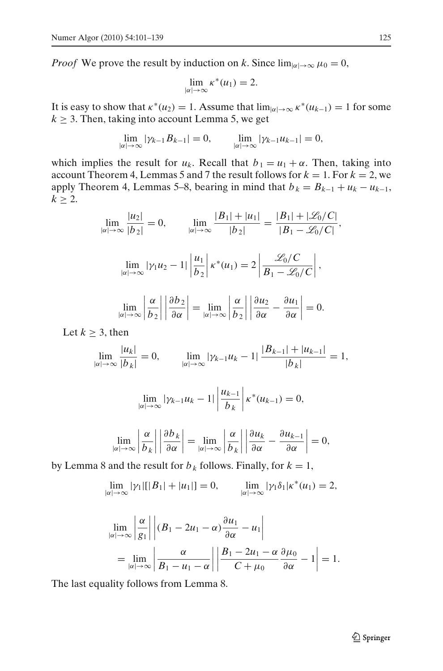<span id="page-25-0"></span>*Proof* We prove the result by induction on *k*. Since  $\lim_{|\alpha| \to \infty} \mu_0 = 0$ ,

$$
\lim_{|\alpha| \to \infty} \kappa^*(u_1) = 2.
$$

It is easy to show that  $\kappa^*(u_2) = 1$ . Assume that  $\lim_{|\alpha| \to \infty} \kappa^*(u_{k-1}) = 1$  for some  $k \geq 3$ . Then, taking into account Lemma 5, we get

$$
\lim_{|\alpha| \to \infty} |\gamma_{k-1} B_{k-1}| = 0, \qquad \lim_{|\alpha| \to \infty} |\gamma_{k-1} u_{k-1}| = 0,
$$

which implies the result for  $u_k$ . Recall that  $b_1 = u_1 + \alpha$ . Then, taking into account Theorem 4, Lemmas 5 and 7 the result follows for  $k = 1$ . For  $k = 2$ , we apply Theorem 4, Lemmas 5–8, bearing in mind that  $b_k = B_{k-1} + u_k - u_{k-1}$ ,  $k \geq 2$ .

$$
\lim_{|\alpha| \to \infty} \frac{|u_2|}{|b_2|} = 0, \qquad \lim_{|\alpha| \to \infty} \frac{|B_1| + |u_1|}{|b_2|} = \frac{|B_1| + |\mathcal{L}_0/C|}{|B_1 - \mathcal{L}_0/C|},
$$

$$
\lim_{|\alpha| \to \infty} |\gamma_1 u_2 - 1| \left| \frac{u_1}{b_2} \right| \kappa^*(u_1) = 2 \left| \frac{\mathcal{L}_0/C}{B_1 - \mathcal{L}_0/C} \right|,
$$

$$
\lim_{|\alpha| \to \infty} \left| \frac{\alpha}{b_2} \right| \left| \frac{\partial b_2}{\partial \alpha} \right| = \lim_{|\alpha| \to \infty} \left| \frac{\alpha}{b_2} \right| \left| \frac{\partial u_2}{\partial \alpha} - \frac{\partial u_1}{\partial \alpha} \right| = 0.
$$

Let  $k > 3$ , then

$$
\lim_{|\alpha| \to \infty} \frac{|u_k|}{|b_k|} = 0, \qquad \lim_{|\alpha| \to \infty} |\gamma_{k-1} u_k - 1| \frac{|B_{k-1}| + |u_{k-1}|}{|b_k|} = 1,
$$

$$
\lim_{|\alpha| \to \infty} |\gamma_{k-1} u_k - 1| \left| \frac{u_{k-1}}{b_k} \right| \kappa^*(u_{k-1}) = 0,
$$

$$
\lim_{|\alpha| \to \infty} \left| \frac{\alpha}{b_k} \right| \left| \frac{\partial b_k}{\partial \alpha} \right| = \lim_{|\alpha| \to \infty} \left| \frac{\alpha}{b_k} \right| \left| \frac{\partial u_k}{\partial \alpha} - \frac{\partial u_{k-1}}{\partial \alpha} \right| = 0,
$$

by Lemma 8 and the result for  $b_k$  follows. Finally, for  $k = 1$ ,

$$
\lim_{|\alpha| \to \infty} |\gamma_1| [|B_1| + |u_1|] = 0, \qquad \lim_{|\alpha| \to \infty} |\gamma_1 \delta_1| \kappa^*(u_1) = 2,
$$

$$
\lim_{|\alpha| \to \infty} \left| \frac{\alpha}{g_1} \right| \left| (B_1 - 2u_1 - \alpha) \frac{\partial u_1}{\partial \alpha} - u_1 \right|
$$
  
= 
$$
\lim_{|\alpha| \to \infty} \left| \frac{\alpha}{B_1 - u_1 - \alpha} \right| \left| \frac{B_1 - 2u_1 - \alpha}{C + \mu_0} \frac{\partial \mu_0}{\partial \alpha} - 1 \right| = 1.
$$

The last equality follows from Lemma 8.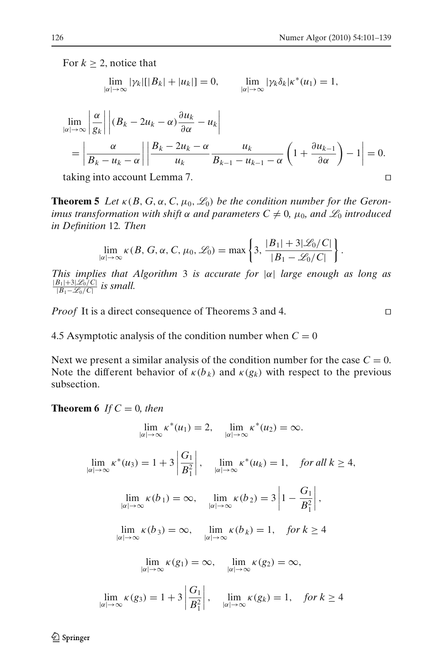<span id="page-26-0"></span>For  $k \geq 2$ , notice that

$$
\lim_{|\alpha| \to \infty} |\gamma_k| [B_k| + |u_k|] = 0, \qquad \lim_{|\alpha| \to \infty} |\gamma_k \delta_k| \kappa^*(u_1) = 1,
$$

$$
\lim_{|\alpha| \to \infty} \left| \frac{\alpha}{g_k} \right| \left| (B_k - 2u_k - \alpha) \frac{\partial u_k}{\partial \alpha} - u_k \right|
$$
  
= 
$$
\left| \frac{\alpha}{B_k - u_k - \alpha} \right| \left| \frac{B_k - 2u_k - \alpha}{u_k} \frac{u_k}{B_{k-1} - u_{k-1} - \alpha} \left( 1 + \frac{\partial u_{k-1}}{\partial \alpha} \right) - 1 \right| = 0.
$$

taking into account Lemma 7. ⊓⊔

**Theorem 5** Let  $\kappa(B, G, \alpha, C, \mu_0, \mathcal{L}_0)$  be the condition number for the Geron*imus transformation with shift*  $\alpha$  *and parameters*  $C \neq 0$ ,  $\mu_0$ , *and*  $\mathcal{L}_0$  *introduced in Definition* 12*. Then*

$$
\lim_{|\alpha|\to\infty} \kappa(B, G, \alpha, C, \mu_0, \mathscr{L}_0) = \max\left\{3, \frac{|B_1| + 3|\mathscr{L}_0/C|}{|B_1 - \mathscr{L}_0/C|}\right\}.
$$

*This implies that Algorithm* 3 *is accurate for* |α| *large enough as long as*  $|B_1|+3|\mathscr{L}_0/C|$  $\frac{|B_1|+3|\mathcal{Z}_0/\mathcal{C}|}{|B_1-\mathcal{L}_0/\mathcal{C}|}$  is small.

*Proof* It is a direct consequence of Theorems 3 and 4. □

4.5 Asymptotic analysis of the condition number when  $C = 0$ 

Next we present a similar analysis of the condition number for the case  $C = 0$ . Note the different behavior of  $\kappa(b_k)$  and  $\kappa(g_k)$  with respect to the previous subsection.

**Theorem 6** If  $C = 0$ , then

$$
\lim_{|\alpha| \to \infty} \kappa^*(u_1) = 2, \quad \lim_{|\alpha| \to \infty} \kappa^*(u_2) = \infty.
$$

 $\lim_{|\alpha| \to \infty} \kappa^*(u_3) = 1 + 3$ *G*<sup>1</sup>  $B_1^2$  $\begin{array}{c} \begin{array}{c} \begin{array}{c} \begin{array}{c} \end{array}\\ \end{array} \end{array} \end{array}$  $\lim_{|\alpha| \to \infty} \kappa^*(u_k) = 1, \quad \text{for all } k \geq 4,$  $\lim_{|\alpha| \to \infty} \kappa(b_1) = \infty$ ,  $\lim_{|\alpha| \to \infty} \kappa(b_2) = 3$  $1 - \frac{G_1}{R^2}$  $B_1^2$  ,  $\lim_{|\alpha| \to \infty} \kappa(b_3) = \infty$ ,  $\lim_{|\alpha| \to \infty} \kappa(b_k) = 1$ , for  $k \ge 4$  $\lim_{|\alpha| \to \infty} \kappa(g_1) = \infty, \quad \lim_{|\alpha| \to \infty} \kappa(g_2) = \infty,$  $\lim_{|\alpha| \to \infty} \kappa(g_3) = 1 + 3$ *G*<sup>1</sup>  $B_1^2$  $\begin{array}{c} \begin{array}{c} \begin{array}{c} \end{array} \\ \begin{array}{c} \end{array} \end{array} \end{array}$  $\lim_{|\alpha| \to \infty} \kappa(g_k) = 1, \quad \text{for } k \geq 4$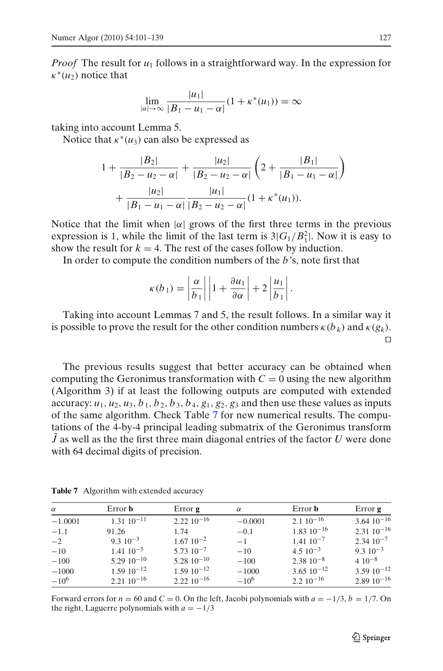<span id="page-27-0"></span>*Proof* The result for  $u_1$  follows in a straightforward way. In the expression for  $\kappa^*(u_2)$  notice that

$$
\lim_{|\alpha|\to\infty}\frac{|u_1|}{|B_1-u_1-\alpha|}(1+\kappa^*(u_1))=\infty
$$

taking into account Lemma 5.

Notice that  $\kappa^*(u_3)$  can also be expressed as

$$
1 + \frac{|B_2|}{|B_2 - u_2 - \alpha|} + \frac{|u_2|}{|B_2 - u_2 - \alpha|} \left( 2 + \frac{|B_1|}{|B_1 - u_1 - \alpha|} \right)
$$
  
+ 
$$
\frac{|u_2|}{|B_1 - u_1 - \alpha|} \frac{|u_1|}{|B_2 - u_2 - \alpha|} (1 + \kappa^*(u_1)).
$$

Notice that the limit when  $|\alpha|$  grows of the first three terms in the previous expression is 1, while the limit of the last term is  $3|G_1/B_1^2|$ . Now it is easy to show the result for  $k = 4$ . The rest of the cases follow by induction.

In order to compute the condition numbers of the *b*'s, note first that

$$
\kappa(b_1) = \left|\frac{\alpha}{b_1}\right| \left|1 + \frac{\partial u_1}{\partial \alpha}\right| + 2\left|\frac{u_1}{b_1}\right|.
$$

Taking into account Lemmas 7 and 5, the result follows. In a similar way it is possible to prove the result for the other condition numbers  $\kappa(b_k)$  and  $\kappa(g_k)$ . ⊓⊔

The previous results suggest that better accuracy can be obtained when computing the Geronimus transformation with  $C = 0$  using the new algorithm (Algorithm 3) if at least the following outputs are computed with extended accuracy:  $u_1$ ,  $u_2$ ,  $u_3$ ,  $b_1$ ,  $b_2$ ,  $b_3$ ,  $b_4$ ,  $g_1$ ,  $g_2$ ,  $g_3$  and then use these values as inputs of the same algorithm. Check Table [7](#page-26-0) for new numerical results. The computations of the 4-by-4 principal leading submatrix of the Geronimus transform ˜*J* as well as the the first three main diagonal entries of the factor *U* were done with 64 decimal digits of precision.

Table 7 Algorithm with extended accuracy

| $\alpha$  | Error <b>b</b>       | Error <b>g</b>    | $\alpha$  | Error <b>b</b>        | Error <b>g</b>        |
|-----------|----------------------|-------------------|-----------|-----------------------|-----------------------|
| $-1.0001$ | $1.31\ 10^{-11}$     | $2.22\ 10^{-16}$  | $-0.0001$ | $2.110^{-16}$         | $3.6410^{-16}$        |
| $-1.1$    | 91.26                | 1.74              | $-0.1$    | $1.83 \cdot 10^{-16}$ | $2.31 \cdot 10^{-16}$ |
| $-2$      | $9.3 \cdot 10^{-3}$  | $1.67 \, 10^{-2}$ | $-1$      | $1.4110^{-7}$         | $2.34\ 10^{-7}$       |
| $-10$     | $1.41 \cdot 10^{-5}$ | $5.7310^{-7}$     | $-10$     | $4.5 \times 10^{-3}$  | $9.310^{-3}$          |
| $-100$    | $5.2910^{-10}$       | $5.2810^{-10}$    | $-100$    | $2.38\ 10^{-8}$       | $4.10^{-8}$           |
| $-1000$   | $1.5910^{-12}$       | $1.5910^{-12}$    | $-1000$   | $3.65 \cdot 10^{-12}$ | $3.5910^{-12}$        |
| $-10^{6}$ | $2.2110^{-16}$       | $2.2210^{-16}$    | $-10^{6}$ | $2.210^{-16}$         | $2.8910^{-16}$        |

Forward errors for  $n = 60$  and  $C = 0$ . On the left, Jacobi polynomials with  $a = -1/3$ ,  $b = 1/7$ . On the right, Laguerre polynomials with  $a = -1/3$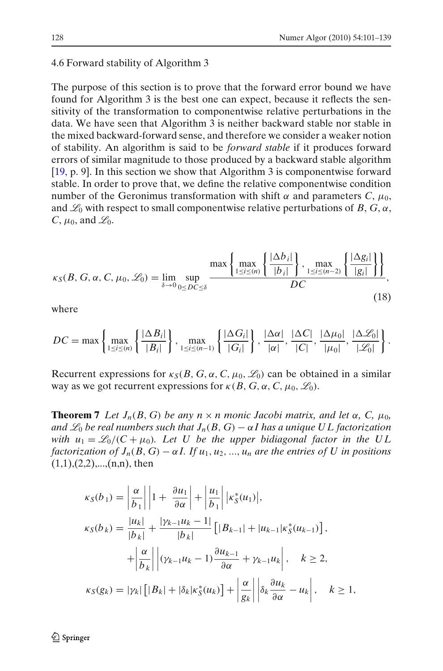#### <span id="page-28-0"></span>4.6 Forward stability of Algorithm 3

The purpose of this section is to prove that the forward error bound we have found for Algorithm 3 is the best one can expect, because it reflects the sensitivity of the transformation to componentwise relative perturbations in the data. We have seen that Algorithm 3 is neither backward stable nor stable in the mixed backward-forward sense, and therefore we consider a weaker notion of stability. An algorithm is said to be *forward stable* if it produces forward errors of similar magnitude to those produced by a backward stable algorithm [\[19](#page-38-0), p. 9]. In this section we show that Algorithm 3 is componentwise forward stable. In order to prove that, we define the relative componentwise condition number of the Geronimus transformation with shift  $\alpha$  and parameters  $C, \mu_0$ , and  $\mathcal{L}_0$  with respect to small componentwise relative perturbations of *B*, *G*,  $\alpha$ ,  $C, \mu_0$ , and  $\mathscr{L}_0$ .

$$
\kappa_S(B, G, \alpha, C, \mu_0, \mathcal{L}_0) = \lim_{\delta \to 0} \sup_{0 \leq D C \leq \delta} \frac{\max \left\{ \frac{|\Delta b_i|}{|b_i|} \right\}, \max_{1 \leq i \leq (n-2)} \left\{ \frac{|\Delta g_i|}{|g_i|} \right\} \right\}}{DC},
$$
\n(18)

where

$$
DC = \max \left\{ \max_{1 \leq i \leq (n)} \left\{ \frac{\vert \Delta B_i \vert}{\vert B_i \vert} \right\}, \max_{1 \leq i \leq (n-1)} \left\{ \frac{\vert \Delta G_i \vert}{\vert G_i \vert} \right\}, \frac{\vert \Delta \alpha \vert}{\vert \alpha \vert}, \frac{\vert \Delta C \vert}{\vert C \vert}, \frac{\vert \Delta \mu_0 \vert}{\vert \mu_0 \vert}, \frac{\vert \Delta \mathcal{L}_0 \vert}{\vert \mathcal{L}_0 \vert} \right\}.
$$

Recurrent expressions for  $\kappa_S(B, G, \alpha, C, \mu_0, \mathcal{L}_0)$  can be obtained in a similar way as we got recurrent expressions for  $\kappa(B, G, \alpha, C, \mu_0, \mathcal{L}_0)$ .

**Theorem 7** Let  $J_n(B, G)$  be any  $n \times n$  monic Jacobi matrix, and let  $\alpha$ , C,  $\mu_0$ , *and*  $\mathcal{L}_0$  *be real numbers such that*  $J_n(B, G) - \alpha I$  *has a unique UL factorization with*  $u_1 = \mathcal{L}_0 / (C + \mu_0)$ . Let U be the upper bidiagonal factor in the UL *factorization of*  $J_n(B, G) - \alpha I$ . If  $u_1, u_2, ..., u_n$  are the entries of U in positions  $(1,1),(2,2),...,(n,n)$ , then

$$
\kappa_S(b_1) = \left| \frac{\alpha}{b_1} \right| \left| 1 + \frac{\partial u_1}{\partial \alpha} \right| + \left| \frac{u_1}{b_1} \right| \left| \kappa_S^*(u_1) \right|,
$$
  
\n
$$
\kappa_S(b_k) = \frac{|u_k|}{|b_k|} + \frac{|\gamma_{k-1}u_k - 1|}{|b_k|} \left[ |B_{k-1}| + |u_{k-1}| \kappa_S^*(u_{k-1}) \right],
$$
  
\n
$$
+ \left| \frac{\alpha}{b_k} \right| \left| (\gamma_{k-1}u_k - 1) \frac{\partial u_{k-1}}{\partial \alpha} + \gamma_{k-1}u_k \right|, \quad k \ge 2,
$$
  
\n
$$
\kappa_S(g_k) = |\gamma_k| \left[ |B_k| + |\delta_k| \kappa_S^*(u_k) \right] + \left| \frac{\alpha}{g_k} \right| \left| \delta_k \frac{\partial u_k}{\partial \alpha} - u_k \right|, \quad k \ge 1,
$$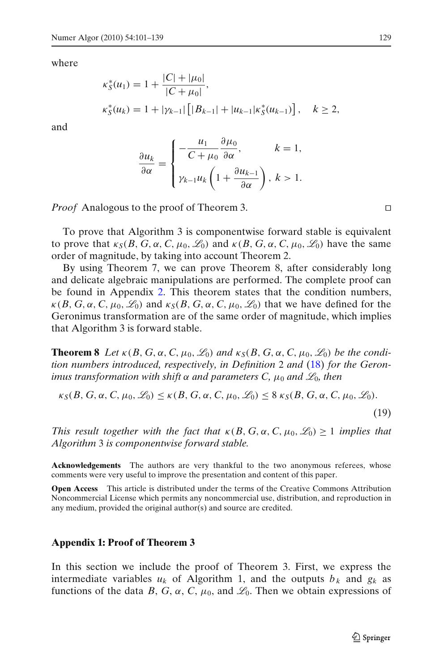where

$$
\begin{aligned} \kappa_S^*(u_1) &= 1 + \frac{|C| + |\mu_0|}{|C + \mu_0|}, \\ \kappa_S^*(u_k) &= 1 + |\gamma_{k-1}| \left[ |B_{k-1}| + |u_{k-1}| \kappa_S^*(u_{k-1}) \right], \quad k \ge 2, \end{aligned}
$$

and

$$
\frac{\partial u_k}{\partial \alpha} = \begin{cases}\n-\frac{u_1}{C + \mu_0} \frac{\partial \mu_0}{\partial \alpha}, & k = 1, \\
\gamma_{k-1} u_k \left(1 + \frac{\partial u_{k-1}}{\partial \alpha}\right), & k > 1.\n\end{cases}
$$

*Proof* Analogous to the proof of Theorem 3. □

To prove that Algorithm 3 is componentwise forward stable is equivalent to prove that  $\kappa_S(B, G, \alpha, C, \mu_0, \mathcal{L}_0)$  and  $\kappa(B, G, \alpha, C, \mu_0, \mathcal{L}_0)$  have the same order of magnitude, by taking into account Theorem 2.

By using Theorem 7, we can prove Theorem 8, after considerably long and delicate algebraic manipulations are performed. The complete proof can be found in Appendix [2.](#page-33-0) This theorem states that the condition numbers,  $\kappa(B, G, \alpha, C, \mu_0, \mathcal{L}_0)$  and  $\kappa_S(B, G, \alpha, C, \mu_0, \mathcal{L}_0)$  that we have defined for the Geronimus transformation are of the same order of magnitude, which implies that Algorithm 3 is forward stable.

**Theorem 8** Let  $\kappa(B, G, \alpha, C, \mu_0, \mathcal{L}_0)$  and  $\kappa_S(B, G, \alpha, C, \mu_0, \mathcal{L}_0)$  be the condi*tion numbers introduced, respectively, in Definition* 2 *and* [\(18\)](#page-27-0) *for the Geronimus transformation with shift*  $\alpha$  *and parameters C,*  $\mu_0$  *and*  $\mathscr{L}_0$ *, then* 

$$
\kappa_S(B, G, \alpha, C, \mu_0, \mathscr{L}_0) \leq \kappa(B, G, \alpha, C, \mu_0, \mathscr{L}_0) \leq 8 \kappa_S(B, G, \alpha, C, \mu_0, \mathscr{L}_0).
$$

(19)

*This result together with the fact that*  $\kappa(B, G, \alpha, C, \mu_0, \mathcal{L}_0) \geq 1$  *implies that Algorithm* 3 *is componentwise forward stable.*

**Acknowledgements** The authors are very thankful to the two anonymous referees, whose comments were very useful to improve the presentation and content of this paper.

**Open Access** This article is distributed under the terms of the Creative Commons Attribution Noncommercial License which permits any noncommercial use, distribution, and reproduction in any medium, provided the original author(s) and source are credited.

#### **Appendix 1: Proof of Theorem 3**

In this section we include the proof of Theorem 3. First, we express the intermediate variables  $u_k$  of Algorithm 1, and the outputs  $b_k$  and  $g_k$  as functions of the data *B*, *G*,  $\alpha$ , *C*,  $\mu_0$ , and  $\mathcal{L}_0$ . Then we obtain expressions of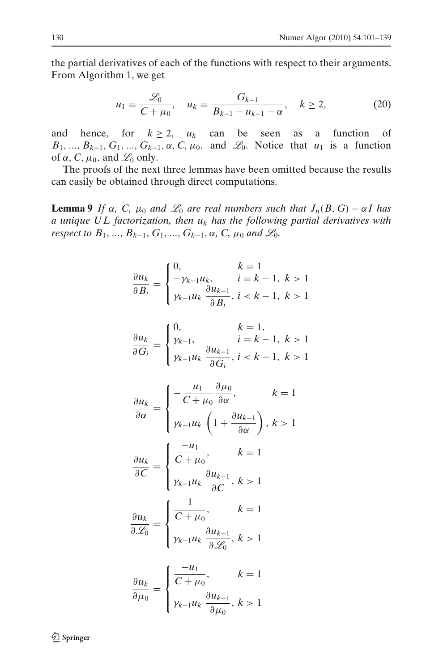<span id="page-30-0"></span>the partial derivatives of each of the functions with respect to their arguments. From Algorithm 1, we get

$$
u_1 = \frac{\mathcal{L}_0}{C + \mu_0}, \quad u_k = \frac{G_{k-1}}{B_{k-1} - u_{k-1} - \alpha}, \quad k \ge 2,
$$
 (20)

and hence, for  $k \ge 2$ ,  $u_k$  can be seen as a function of  $B_1, ..., B_{k-1}, G_1, ..., G_{k-1}, \alpha, C, \mu_0$ , and  $\mathcal{L}_0$ . Notice that  $u_1$  is a function of  $\alpha$ , C,  $\mu_0$ , and  $\mathcal{L}_0$  only.

The proofs of the next three lemmas have been omitted because the results can easily be obtained through direct computations.

**Lemma 9** *If*  $\alpha$ , *C*,  $\mu_0$  *and*  $\mathcal{L}_0$  *are real numbers such that*  $J_n(B, G) - \alpha I$  *has a unique U L factorization, then u<sup>k</sup> has the following partial derivatives with respect to*  $B_1$ , ...,  $B_{k-1}$ ,  $G_1$ , ...,  $G_{k-1}$ ,  $\alpha$ ,  $C$ ,  $\mu_0$  and  $\mathcal{L}_0$ .

$$
\frac{\partial u_k}{\partial B_i} = \begin{cases} 0, & k = 1\\ -\gamma_{k-1}u_k, & i = k - 1, \ k > 1\\ \gamma_{k-1}u_k \frac{\partial u_{k-1}}{\partial B_i}, & i < k - 1, \ k > 1 \end{cases}
$$

$$
\frac{\partial u_k}{\partial G_i} = \begin{cases} 0, & k = 1, \\ \gamma_{k-1}, & i = k - 1, \ k > 1 \\ \gamma_{k-1} u_k \frac{\partial u_{k-1}}{\partial G_i}, & i < k - 1, \ k > 1 \end{cases}
$$

$$
\frac{\partial u_k}{\partial \alpha} = \begin{cases}\n-\frac{u_1}{C + \mu_0} \frac{\partial \mu_0}{\partial \alpha}, & k = 1 \\
\gamma_{k-1} u_k \left(1 + \frac{\partial u_{k-1}}{\partial \alpha}\right), & k > 1\n\end{cases}
$$

$$
\frac{\partial u_k}{\partial C} = \begin{cases} \frac{-u_1}{C + \mu_0}, & k = 1\\ \gamma_{k-1} u_k \frac{\partial u_{k-1}}{\partial C}, & k > 1 \end{cases}
$$

$$
\frac{\partial u_k}{\partial \mathcal{L}_0} = \begin{cases} \frac{1}{C + \mu_0}, & k = 1\\ \gamma_{k-1} u_k \frac{\partial u_{k-1}}{\partial \mathcal{L}_0}, & k > 1 \end{cases}
$$

$$
\frac{\partial u_k}{\partial \mu_0} = \begin{cases} \frac{-u_1}{C + \mu_0}, & k = 1 \\ \gamma_{k-1} u_k \frac{\partial u_{k-1}}{\partial \mu_0}, & k > 1 \end{cases}
$$

 $\mathcal{D}$  Springer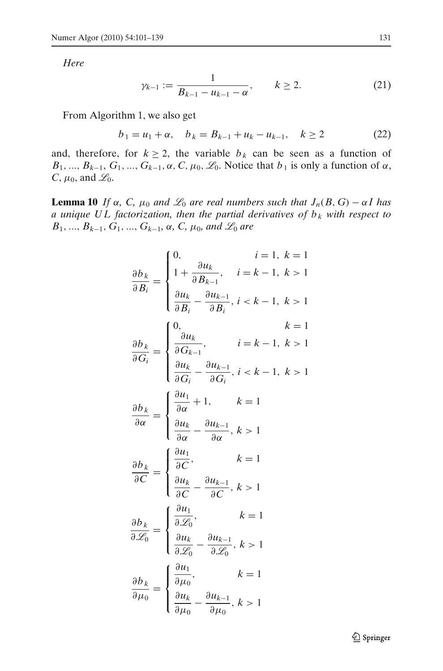<span id="page-31-0"></span>*Here*

$$
\gamma_{k-1} := \frac{1}{B_{k-1} - u_{k-1} - \alpha}, \qquad k \ge 2. \tag{21}
$$

From Algorithm 1, we also get

$$
b_1 = u_1 + \alpha, \quad b_k = B_{k-1} + u_k - u_{k-1}, \quad k \ge 2 \tag{22}
$$

and, therefore, for  $k \ge 2$ , the variable  $b_k$  can be seen as a function of  $B_1, ..., B_{k-1}, G_1, ..., G_{k-1}, \alpha, C, \mu_0, \mathcal{L}_0$ . Notice that  $b_1$  is only a function of  $\alpha$ ,  $C, \mu_0$ , and  $\mathcal{L}_0$ .

**Lemma 10** *If*  $\alpha$ , *C*,  $\mu_0$  *and*  $\mathcal{L}_0$  *are real numbers such that*  $J_n(B, G) - \alpha I$  *has a unique UL factorization, then the partial derivatives of*  $b_k$  *with respect to*  $B_1$ , ...,  $B_{k-1}$ ,  $G_1$ , ...,  $G_{k-1}$ ,  $\alpha$ ,  $C$ ,  $\mu_0$ , and  $\mathscr{L}_0$  are

$$
\frac{\partial b_k}{\partial B_i} = \begin{cases}\n0, & i = 1, k = 1 \\
1 + \frac{\partial u_k}{\partial B_{k-1}}, & i = k - 1, k > 1 \\
\frac{\partial u_k}{\partial B_i} - \frac{\partial u_{k-1}}{\partial B_i}, & i < k - 1, k > 1\n\end{cases}
$$
\n
$$
\frac{\partial b_k}{\partial G_i} = \begin{cases}\n0, & k = 1 \\
\frac{\partial u_k}{\partial G_{k-1}}, & i = k - 1, k > 1 \\
\frac{\partial u_k}{\partial G_i} - \frac{\partial u_{k-1}}{\partial G_i}, & i < k - 1, k > 1\n\end{cases}
$$
\n
$$
\frac{\partial b_k}{\partial \alpha} = \begin{cases}\n\frac{\partial u_1}{\partial \alpha} + 1, & k = 1 \\
\frac{\partial u_k}{\partial \alpha} - \frac{\partial u_{k-1}}{\partial \alpha}, & k > 1\n\end{cases}
$$
\n
$$
\frac{\partial b_k}{\partial C} = \begin{cases}\n\frac{\partial u_1}{\partial C}, & k = 1 \\
\frac{\partial u_k}{\partial C} - \frac{\partial u_{k-1}}{\partial C}, & k > 1\n\end{cases}
$$
\n
$$
\frac{\partial b_k}{\partial \mathcal{L}_0} = \begin{cases}\n\frac{\partial u_1}{\partial \mathcal{L}_0}, & k = 1 \\
\frac{\partial u_k}{\partial \mathcal{L}_0} - \frac{\partial u_{k-1}}{\partial \mathcal{L}_0}, & k > 1\n\end{cases}
$$
\n
$$
\frac{\partial b_k}{\partial \mu_0} = \begin{cases}\n\frac{\partial u_1}{\partial \mu_0}, & k = 1 \\
\frac{\partial u_k}{\partial \mu_0} - \frac{\partial u_{k-1}}{\partial \mu_0}, & k > 1\n\end{cases}
$$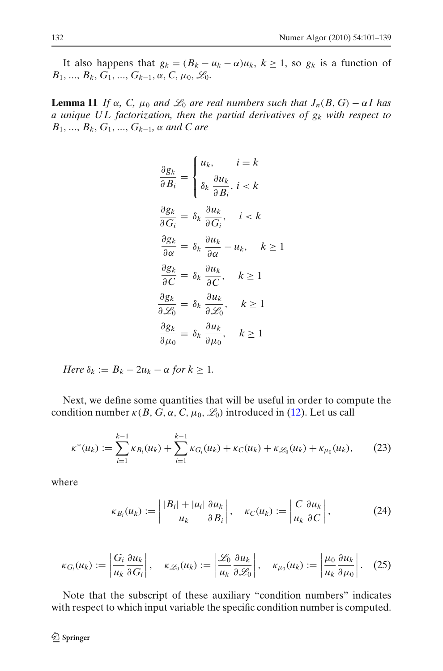It also happens that  $g_k = (B_k - u_k - \alpha)u_k$ ,  $k \ge 1$ , so  $g_k$  is a function of *B*<sub>1</sub>, ..., *B*<sub>*k*</sub>, *G*<sub>1</sub>, ..., *G*<sub>*k*−1</sub>, α, *C*, μ<sub>0</sub>,  $\mathcal{L}_0$ .

**Lemma 11** *If*  $\alpha$ ,  $C$ ,  $\mu_0$  *and*  $\mathcal{L}_0$  *are real numbers such that*  $J_n(B, G) - \alpha I$  *has a unique U L factorization, then the partial derivatives of g<sup>k</sup> with respect to B*1, ..., *Bk*, *G*1, ..., *Gk*−1*,* α *and C are*

$$
\frac{\partial g_k}{\partial B_i} = \begin{cases} u_k, & i = k \\ \delta_k \frac{\partial u_k}{\partial B_i}, i < k \end{cases}
$$
\n
$$
\frac{\partial g_k}{\partial G_i} = \delta_k \frac{\partial u_k}{\partial G_i}, \quad i < k
$$
\n
$$
\frac{\partial g_k}{\partial \alpha} = \delta_k \frac{\partial u_k}{\partial \alpha} - u_k, \quad k \ge 1
$$
\n
$$
\frac{\partial g_k}{\partial C} = \delta_k \frac{\partial u_k}{\partial C}, \quad k \ge 1
$$
\n
$$
\frac{\partial g_k}{\partial Z_0} = \delta_k \frac{\partial u_k}{\partial Z_0}, \quad k \ge 1
$$
\n
$$
\frac{\partial g_k}{\partial \mu_0} = \delta_k \frac{\partial u_k}{\partial \mu_0}, \quad k \ge 1
$$

*Here*  $\delta_k := B_k - 2u_k - \alpha$  *for*  $k \geq 1$ *.* 

Next, we define some quantities that will be useful in order to compute the condition number  $\kappa(B, G, \alpha, C, \mu_0, \mathcal{L}_0)$  introduced in [\(12\)](#page-19-0). Let us call

$$
\kappa^*(u_k) := \sum_{i=1}^{k-1} \kappa_{B_i}(u_k) + \sum_{i=1}^{k-1} \kappa_{G_i}(u_k) + \kappa_C(u_k) + \kappa_{\mathscr{L}_0}(u_k) + \kappa_{\mu_0}(u_k),\tag{23}
$$

where

$$
\kappa_{B_i}(u_k) := \left| \frac{|B_i| + |u_i|}{u_k} \frac{\partial u_k}{\partial B_i} \right|, \quad \kappa_C(u_k) := \left| \frac{C}{u_k} \frac{\partial u_k}{\partial C} \right|,
$$
 (24)

$$
\kappa_{G_i}(u_k) := \left| \frac{G_i}{u_k} \frac{\partial u_k}{\partial G_i} \right|, \quad \kappa_{\mathscr{L}_0}(u_k) := \left| \frac{\mathscr{L}_0}{u_k} \frac{\partial u_k}{\partial \mathscr{L}_0} \right|, \quad \kappa_{\mu_0}(u_k) := \left| \frac{\mu_0}{u_k} \frac{\partial u_k}{\partial \mu_0} \right|.
$$
 (25)

Note that the subscript of these auxiliary "condition numbers" indicates with respect to which input variable the specific condition number is computed.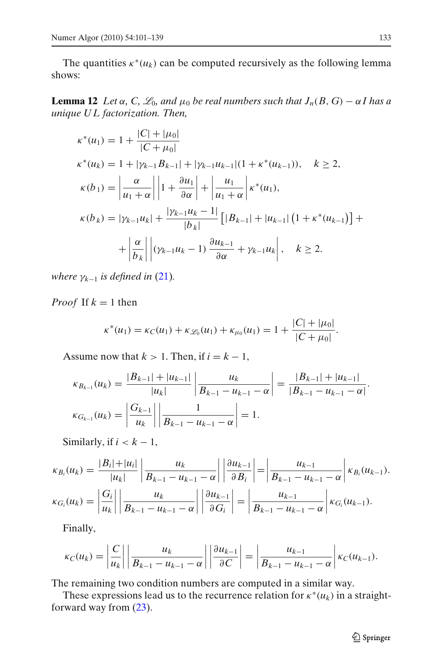<span id="page-33-0"></span>The quantities  $\kappa^*(u_k)$  can be computed recursively as the following lemma shows:

**Lemma 12** *Let*  $\alpha$ , *C*,  $\mathcal{L}_0$ , and  $\mu_0$  be real numbers such that  $J_n(B, G) - \alpha I$  has a *unique U L factorization. Then,*

$$
\kappa^*(u_1) = 1 + \frac{|C| + |\mu_0|}{|C + \mu_0|}
$$
  
\n
$$
\kappa^*(u_k) = 1 + |\gamma_{k-1}B_{k-1}| + |\gamma_{k-1}u_{k-1}|(1 + \kappa^*(u_{k-1})), \quad k \ge 2,
$$
  
\n
$$
\kappa(b_1) = \left| \frac{\alpha}{u_1 + \alpha} \right| \left| 1 + \frac{\partial u_1}{\partial \alpha} \right| + \left| \frac{u_1}{u_1 + \alpha} \right| \kappa^*(u_1),
$$
  
\n
$$
\kappa(b_k) = |\gamma_{k-1}u_k| + \frac{|\gamma_{k-1}u_k - 1|}{|b_k|} [|B_{k-1}| + |u_{k-1}| (1 + \kappa^*(u_{k-1})] +
$$
  
\n
$$
+ \left| \frac{\alpha}{b_k} \right| |(\gamma_{k-1}u_k - 1) \frac{\partial u_{k-1}}{\partial \alpha} + \gamma_{k-1}u_k |, \quad k \ge 2.
$$

*where*  $\gamma_{k-1}$  *is defined in* [\(21\)](#page-30-0).

*Proof* If  $k = 1$  then

$$
\kappa^*(u_1) = \kappa_C(u_1) + \kappa_{\mathcal{L}_0}(u_1) + \kappa_{\mu_0}(u_1) = 1 + \frac{|C| + |\mu_0|}{|C + \mu_0|}.
$$

Assume now that  $k > 1$ . Then, if  $i = k - 1$ ,

$$
\kappa_{B_{k-1}}(u_k) = \frac{|B_{k-1}| + |u_{k-1}|}{|u_k|} \left| \frac{u_k}{B_{k-1} - u_{k-1} - \alpha} \right| = \frac{|B_{k-1}| + |u_{k-1}|}{|B_{k-1} - u_{k-1} - \alpha|}.
$$

$$
\kappa_{G_{k-1}}(u_k) = \left| \frac{G_{k-1}}{u_k} \right| \left| \frac{1}{B_{k-1} - u_{k-1} - \alpha} \right| = 1.
$$

Similarly, if  $i < k - 1$ ,

$$
\kappa_{B_i}(u_k) = \frac{|B_i| + |u_i|}{|u_k|} \left| \frac{u_k}{B_{k-1} - u_{k-1} - \alpha} \right| \left| \frac{\partial u_{k-1}}{\partial B_i} \right| = \left| \frac{u_{k-1}}{B_{k-1} - u_{k-1} - \alpha} \right| \kappa_{B_i}(u_{k-1}).
$$
  

$$
\kappa_{G_i}(u_k) = \left| \frac{G_i}{u_k} \right| \left| \frac{u_k}{B_{k-1} - u_{k-1} - \alpha} \right| \left| \frac{\partial u_{k-1}}{\partial G_i} \right| = \left| \frac{u_{k-1}}{B_{k-1} - u_{k-1} - \alpha} \right| \kappa_{G_i}(u_{k-1}).
$$

Finally,

$$
\kappa_C(u_k) = \left|\frac{C}{u_k}\right| \left|\frac{u_k}{B_{k-1} - u_{k-1} - \alpha}\right| \left|\frac{\partial u_{k-1}}{\partial C}\right| = \left|\frac{u_{k-1}}{B_{k-1} - u_{k-1} - \alpha}\right| \kappa_C(u_{k-1}).
$$

The remaining two condition numbers are computed in a similar way.

These expressions lead us to the recurrence relation for  $\kappa^*(u_k)$  in a straightforward way from [\(23\)](#page-31-0).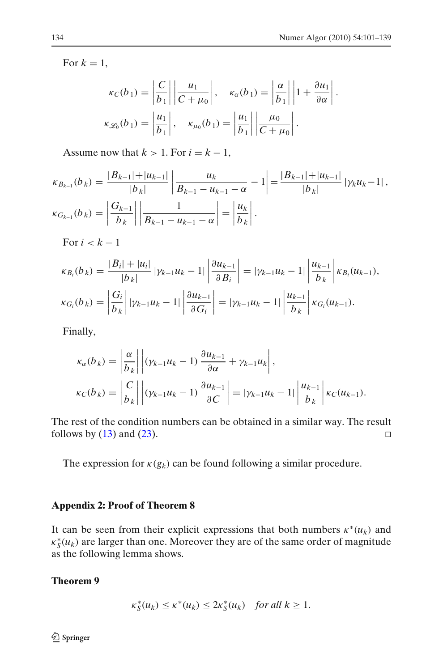.

For  $k = 1$ ,

$$
\kappa_C(b_1) = \left| \frac{C}{b_1} \right| \left| \frac{u_1}{C + \mu_0} \right|, \quad \kappa_\alpha(b_1) = \left| \frac{\alpha}{b_1} \right| \left| 1 + \frac{\partial u_1}{\partial \alpha} \right|
$$
  

$$
\kappa_{\mathscr{L}_0}(b_1) = \left| \frac{u_1}{b_1} \right|, \quad \kappa_{\mu_0}(b_1) = \left| \frac{u_1}{b_1} \right| \left| \frac{\mu_0}{C + \mu_0} \right|.
$$

Assume now that  $k > 1$ . For  $i = k - 1$ ,

$$
\kappa_{B_{k-1}}(b_k) = \frac{|B_{k-1}| + |u_{k-1}|}{|b_k|} \left| \frac{u_k}{B_{k-1} - u_{k-1} - \alpha} - 1 \right| = \frac{|B_{k-1}| + |u_{k-1}|}{|b_k|} |\gamma_k u_k - 1|,
$$
  

$$
\kappa_{G_{k-1}}(b_k) = \left| \frac{G_{k-1}}{b_k} \right| \left| \frac{1}{B_{k-1} - u_{k-1} - \alpha} \right| = \left| \frac{u_k}{b_k} \right|.
$$

For  $i < k - 1$ 

$$
\kappa_{B_i}(b_k) = \frac{|B_i| + |u_i|}{|b_k|} |\gamma_{k-1} u_k - 1| \left| \frac{\partial u_{k-1}}{\partial B_i} \right| = |\gamma_{k-1} u_k - 1| \left| \frac{u_{k-1}}{b_k} \right| \kappa_{B_i}(u_{k-1}),
$$
  

$$
\kappa_{G_i}(b_k) = \left| \frac{G_i}{b_k} \right| |\gamma_{k-1} u_k - 1| \left| \frac{\partial u_{k-1}}{\partial G_i} \right| = |\gamma_{k-1} u_k - 1| \left| \frac{u_{k-1}}{b_k} \right| \kappa_{G_i}(u_{k-1}).
$$

Finally,

$$
\kappa_{\alpha}(b_k) = \left| \frac{\alpha}{b_k} \right| \left| (\gamma_{k-1} u_k - 1) \frac{\partial u_{k-1}}{\partial \alpha} + \gamma_{k-1} u_k \right|,
$$
  

$$
\kappa_C(b_k) = \left| \frac{C}{b_k} \right| \left| (\gamma_{k-1} u_k - 1) \frac{\partial u_{k-1}}{\partial C} \right| = |\gamma_{k-1} u_k - 1| \left| \frac{u_{k-1}}{b_k} \right| \kappa_C(u_{k-1}).
$$

The rest of the condition numbers can be obtained in a similar way. The result follows by [\(13\)](#page-19-0) and [\(23\)](#page-31-0).  $□$ 

The expression for  $\kappa(g_k)$  can be found following a similar procedure.

#### **Appendix 2: Proof of Theorem 8**

It can be seen from their explicit expressions that both numbers  $\kappa^*(u_k)$  and  $\kappa_S^*(u_k)$  are larger than one. Moreover they are of the same order of magnitude as the following lemma shows.

#### **Theorem 9**

$$
\kappa_S^*(u_k) \le \kappa^*(u_k) \le 2\kappa_S^*(u_k) \quad \text{for all } k \ge 1.
$$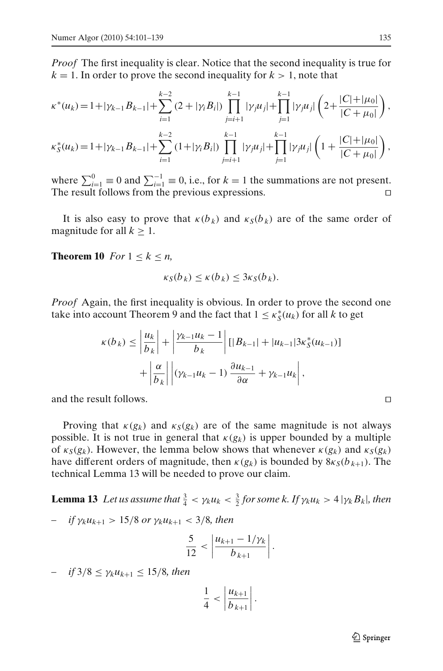<span id="page-35-0"></span>*Proof* The first inequality is clear. Notice that the second inequality is true for  $k = 1$ . In order to prove the second inequality for  $k > 1$ , note that

$$
\kappa^*(u_k) = 1 + |\gamma_{k-1}B_{k-1}| + \sum_{i=1}^{k-2} (2 + |\gamma_i B_i|) \prod_{j=i+1}^{k-1} |\gamma_j u_j| + \prod_{j=1}^{k-1} |\gamma_j u_j| \left( 2 + \frac{|C| + |\mu_0|}{|C + \mu_0|} \right),
$$

$$
\kappa_S^*(u_k) = 1 + |\gamma_{k-1}B_{k-1}| + \sum_{i=1}^{k-2} (1 + |\gamma_i B_i|) \prod_{j=i+1}^{k-1} |\gamma_j u_j| + \prod_{j=1}^{k-1} |\gamma_j u_j| \left( 1 + \frac{|C| + |\mu_0|}{|C + \mu_0|} \right),
$$

where  $\sum_{i=1}^{0} \equiv 0$  and  $\sum_{i=1}^{-1} \equiv 0$ , i.e., for  $k = 1$  the summations are not present. The result follows from the previous expressions. □

It is also easy to prove that  $\kappa(b_k)$  and  $\kappa<sub>S</sub>(b_k)$  are of the same order of magnitude for all  $k \geq 1$ .

**Theorem 10** *For*  $1 \leq k \leq n$ ,

$$
\kappa_S(b_k) \le \kappa(b_k) \le 3\kappa_S(b_k).
$$

*Proof* Again, the first inequality is obvious. In order to prove the second one take into account Theorem 9 and the fact that  $1 \leq \kappa_S^*(u_k)$  for all *k* to get

$$
\kappa(b_k) \le \left| \frac{u_k}{b_k} \right| + \left| \frac{\gamma_{k-1} u_k - 1}{b_k} \right| \left[ |B_{k-1}| + |u_{k-1}| 3 \kappa_S^*(u_{k-1}) \right] + \left| \frac{\alpha}{b_k} \right| \left| (\gamma_{k-1} u_k - 1) \frac{\partial u_{k-1}}{\partial \alpha} + \gamma_{k-1} u_k \right|,
$$

and the result follows.

Proving that  $\kappa(g_k)$  and  $\kappa_S(g_k)$  are of the same magnitude is not always possible. It is not true in general that  $\kappa(g_k)$  is upper bounded by a multiple of  $\kappa_S(g_k)$ . However, the lemma below shows that whenever  $\kappa(g_k)$  and  $\kappa_S(g_k)$ have different orders of magnitude, then  $\kappa(g_k)$  is bounded by  $8\kappa_S(b_{k+1})$ . The technical Lemma 13 will be needed to prove our claim.

**Lemma 13** *Let us assume that*  $\frac{3}{4} < \gamma_k u_k < \frac{3}{2}$  for some k. If  $\gamma_k u_k > 4 |\gamma_k B_k|$ , then

$$
- \quad \text{if } \gamma_k u_{k+1} > 15/8 \text{ or } \gamma_k u_{k+1} < 3/8, \text{ then}
$$

$$
\frac{5}{12} < \left| \frac{u_{k+1} - 1/\gamma_k}{b_{k+1}} \right|.
$$

*– if* 3/8 ≤ γ*kuk*+<sup>1</sup> ≤ 15/8*, then*

$$
\frac{1}{4} < \left| \frac{u_{k+1}}{b_{k+1}} \right|.
$$

$$
\Box
$$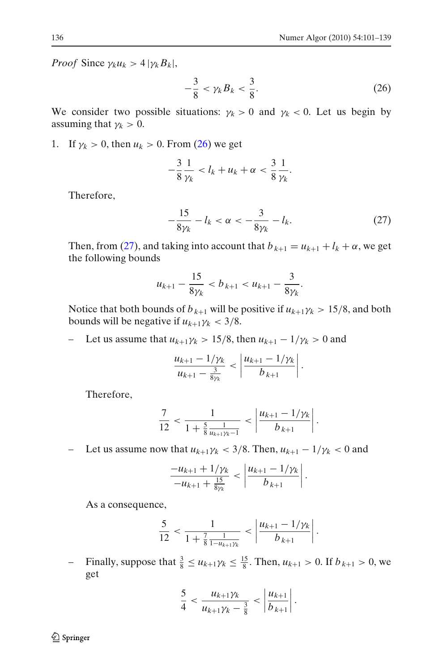*Proof* Since  $\gamma_k u_k > 4 |\gamma_k B_k|$ ,

$$
-\frac{3}{8} < \gamma_k B_k < \frac{3}{8}.\tag{26}
$$

We consider two possible situations:  $\gamma_k > 0$  and  $\gamma_k < 0$ . Let us begin by assuming that  $\gamma_k > 0$ .

1. If  $\gamma_k > 0$ , then  $u_k > 0$ . From [\(26\)](#page-35-0) we get

$$
-\frac{3}{8}\frac{1}{\gamma_k} < l_k + u_k + \alpha < \frac{3}{8}\frac{1}{\gamma_k}.
$$

Therefore,

$$
-\frac{15}{8\gamma_k} - l_k < \alpha < -\frac{3}{8\gamma_k} - l_k. \tag{27}
$$

Then, from [\(27\)](#page-35-0), and taking into account that  $b_{k+1} = u_{k+1} + l_k + \alpha$ , we get the following bounds

$$
u_{k+1} - \frac{15}{8\gamma_k} < b_{k+1} < u_{k+1} - \frac{3}{8\gamma_k}.
$$

Notice that both bounds of  $b_{k+1}$  will be positive if  $u_{k+1}\gamma_k > 15/8$ , and both bounds will be negative if  $u_{k+1}\gamma_k < 3/8$ .

Let us assume that  $u_{k+1}\gamma_k > 15/8$ , then  $u_{k+1} - 1/\gamma_k > 0$  and

$$
\frac{u_{k+1}-1/\gamma_k}{u_{k+1}-\frac{3}{8\gamma_k}} < \left|\frac{u_{k+1}-1/\gamma_k}{b_{k+1}}\right|.
$$

Therefore,

$$
\frac{7}{12} < \frac{1}{1 + \frac{5}{8} \frac{1}{u_{k+1}\gamma_k - 1}} < \left| \frac{u_{k+1} - 1/\gamma_k}{b_{k+1}} \right|.
$$

– Let us assume now that *uk*+1γ*<sup>k</sup>* < 3/8. Then, *uk*+<sup>1</sup> − 1/γ*<sup>k</sup>* < 0 and

$$
\frac{-u_{k+1}+1/\gamma_k}{-u_{k+1}+\frac{15}{8\gamma_k}} < \left|\frac{u_{k+1}-1/\gamma_k}{b_{k+1}}\right|.
$$

As a consequence,

$$
\frac{5}{12} < \frac{1}{1 + \frac{7}{8} \frac{1}{1 - u_{k+1}\gamma_k}} < \left| \frac{u_{k+1} - 1/\gamma_k}{b_{k+1}} \right|.
$$

 $\blacksquare$  Finally, suppose that  $\frac{3}{8} \le u_{k+1}\gamma_k \le \frac{15}{8}$ . Then,  $u_{k+1} > 0$ . If  $b_{k+1} > 0$ , we get

$$
\frac{5}{4} < \frac{u_{k+1}\gamma_k}{u_{k+1}\gamma_k - \frac{3}{8}} < \left|\frac{u_{k+1}}{b_{k+1}}\right|.
$$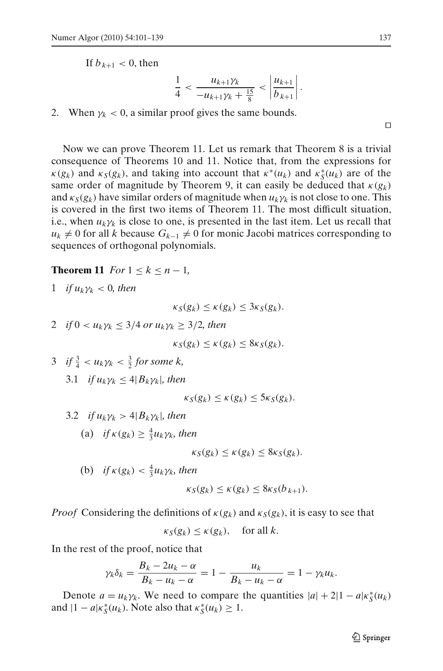<span id="page-37-0"></span>If  $b_{k+1} < 0$ , then

$$
\frac{1}{4} < \frac{u_{k+1}\gamma_k}{-u_{k+1}\gamma_k + \frac{15}{8}} < \left|\frac{u_{k+1}}{b_{k+1}}\right|
$$

.

2. When  $\gamma_k$  < 0, a similar proof gives the same bounds.

Now we can prove Theorem 11. Let us remark that Theorem 8 is a trivial consequence of Theorems 10 and 11. Notice that, from the expressions for  $\kappa(g_k)$  and  $\kappa_S(g_k)$ , and taking into account that  $\kappa^*(u_k)$  and  $\kappa_S^*(u_k)$  are of the same order of magnitude by Theorem 9, it can easily be deduced that  $\kappa(g_k)$ and  $\kappa_S(g_k)$  have similar orders of magnitude when  $u_k \gamma_k$  is not close to one. This is covered in the first two items of Theorem 11. The most difficult situation, i.e., when  $u_k \gamma_k$  is close to one, is presented in the last item. Let us recall that  $u_k \neq 0$  for all *k* because  $G_{k-1} \neq 0$  for monic Jacobi matrices corresponding to sequences of orthogonal polynomials.

**Theorem 11** *For*  $1 \leq k \leq n - 1$ *,* 

1 if 
$$
u_k \gamma_k < 0
$$
, then

$$
\kappa_S(g_k) \leq \kappa(g_k) \leq 3\kappa_S(g_k).
$$

2 *if*  $0 < u_k \gamma_k \leq 3/4$  *or*  $u_k \gamma_k \geq 3/2$ *, then* 

$$
\kappa_S(g_k) \leq \kappa(g_k) \leq 8\kappa_S(g_k).
$$

3 *if*  $\frac{3}{4} < u_k \gamma_k < \frac{3}{2}$  for some k, 3.1 *if*  $u_k \gamma_k \leq 4 |B_k \gamma_k|$ , then

$$
\kappa_S(g_k) \leq \kappa(g_k) \leq 5\kappa_S(g_k).
$$

3.2 *if*  $u_k \gamma_k > 4|B_k \gamma_k|$ , then

(a) if 
$$
\kappa(g_k) \geq \frac{4}{3}u_k\gamma_k
$$
, then

$$
\kappa_S(g_k) \leq \kappa(g_k) \leq 8\kappa_S(g_k).
$$

(b)  $if \kappa(g_k) < \frac{4}{3}u_k\gamma_k$ , then

$$
\kappa_S(g_k) \leq \kappa(g_k) \leq 8\kappa_S(b_{k+1}).
$$

*Proof* Considering the definitions of  $\kappa(g_k)$  and  $\kappa_S(g_k)$ , it is easy to see that

$$
\kappa_S(g_k) \le \kappa(g_k), \quad \text{for all } k.
$$

In the rest of the proof, notice that

$$
\gamma_k \delta_k = \frac{B_k - 2u_k - \alpha}{B_k - u_k - \alpha} = 1 - \frac{u_k}{B_k - u_k - \alpha} = 1 - \gamma_k u_k.
$$

Denote  $a = u_k \gamma_k$ . We need to compare the quantities  $|a| + 2|1 - a|\kappa_s(u_k)$ and  $|1 - a| \kappa_S^*(u_k)$ . Note also that  $\kappa_S^*(u_k) \geq 1$ .

⊓⊔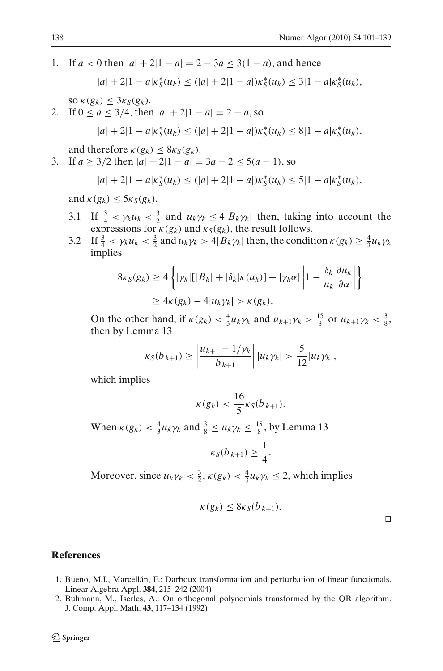<span id="page-38-0"></span>1. If  $a < 0$  then  $|a| + 2|1 - a| = 2 - 3a \le 3(1 - a)$ , and hence

$$
|a| + 2|1 - a|\kappa_S^*(u_k) \le (|a| + 2|1 - a|)\kappa_S^*(u_k) \le 3|1 - a|\kappa_S^*(u_k),
$$

 $\delta S \propto \kappa(g_k) \leq 3\kappa_S(g_k).$ 

2. If  $0 \le a \le 3/4$ , then  $|a| + 2|1 - a| = 2 - a$ , so

$$
|a| + 2|1 - a|\kappa_S^*(u_k) \le (|a| + 2|1 - a|)\kappa_S^*(u_k) \le 8|1 - a|\kappa_S^*(u_k),
$$

and therefore  $\kappa(g_k) \leq 8\kappa_S(g_k)$ .

3. If  $a \ge 3/2$  then  $|a| + 2|1 - a| = 3a - 2 \le 5(a - 1)$ , so

$$
|a| + 2|1 - a|\kappa_S^*(u_k) \le (|a| + 2|1 - a|)\kappa_S^*(u_k) \le 5|1 - a|\kappa_S^*(u_k),
$$

and  $\kappa(g_k) \leq 5\kappa_S(g_k)$ .

- 3.1 If  $\frac{3}{4} < \gamma_k u_k < \frac{3}{2}$  and  $u_k \gamma_k \leq 4 |B_k \gamma_k|$  then, taking into account the expressions for  $\kappa(g_k)$  and  $\kappa_S(g_k)$ , the result follows.
- 3.2 If  $\frac{3}{4} < \gamma_k u_k < \frac{3}{2}$  and  $u_k \gamma_k > 4|B_k \gamma_k|$  then, the condition  $\kappa(g_k) \geq \frac{4}{3} u_k \gamma_k$ implies

$$
8\kappa_S(g_k) \ge 4\left\{|\gamma_k| [|B_k| + |\delta_k|\kappa(u_k)] + |\gamma_k\alpha| \left|1 - \frac{\delta_k}{u_k} \frac{\partial u_k}{\partial \alpha}\right|\right\}
$$
  

$$
\ge 4\kappa(g_k) - 4|u_k \gamma_k| > \kappa(g_k).
$$

On the other hand, if  $\kappa(g_k) < \frac{4}{3}u_k\gamma_k$  and  $u_{k+1}\gamma_k > \frac{15}{8}$  or  $u_{k+1}\gamma_k < \frac{3}{8}$ , then by Lemma 13

$$
\kappa_{S}(b_{k+1}) \ge \left| \frac{u_{k+1} - 1/\gamma_{k}}{b_{k+1}} \right| |u_{k}\gamma_{k}| > \frac{5}{12}|u_{k}\gamma_{k}|,
$$

which implies

$$
\kappa(g_k) < \frac{16}{5} \kappa_S(b_{k+1}).
$$

When  $\kappa(g_k) < \frac{4}{3}u_k\gamma_k$  and  $\frac{3}{8} \leq u_k\gamma_k \leq \frac{15}{8}$ , by Lemma 13

$$
\kappa_S(b_{k+1}) \geq \frac{1}{4}.
$$

Moreover, since  $u_k \gamma_k < \frac{3}{2}$ ,  $\kappa(g_k) < \frac{4}{3} u_k \gamma_k \leq 2$ , which implies

$$
\kappa(g_k) \le 8\kappa_S(b_{k+1}).
$$

#### **References**

- 1. Bueno, M.I., Marcellán, F.: Darboux transformation and perturbation of linear functionals. Linear Algebra Appl. **384**, 215–242 (2004)
- 2. Buhmann, M., Iserles, A.: On orthogonal polynomials transformed by the QR algorithm. J. Comp. Appl. Math. **43**, 117–134 (1992)